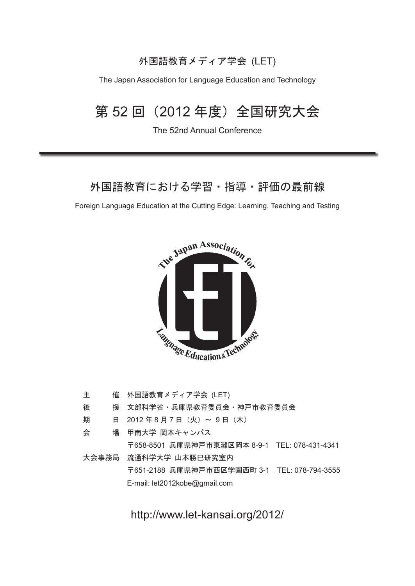### 外国語教育メディア学会 (LET)

The Japan Association for Language Education and Technology

## 第 52 回 (2012年度) 全国研究大会

The 52nd Annual Conference

### 外国語教育における学習・指導・評価の最前線

Foreign Language Education at the Cutting Edge: Learning, Teaching and Testing



| 主 | 催 外国語教育メディア学会 (LET)                           |  |
|---|-----------------------------------------------|--|
| 後 | 援 文部科学省・兵庫県教育委員会・神戸市教育委員会                     |  |
| 期 | 日 2012年8月7日 (火) ~ 9日 (木)                      |  |
| 会 | 場 甲南大学 岡本キャンパス                                |  |
|   | 〒658-8501 兵庫県神戸市東灘区岡本 8-9-1 TEL: 078-431-4341 |  |
|   | 大会事務局 流通科学大学 山本勝巳研究室内                         |  |
|   | 〒651-2188 兵庫県神戸市西区学園西町 3-1 TEL: 078-794-3555  |  |
|   | E-mail: let2012kobe@gmail.com                 |  |

http://www.let-kansai.org/2012/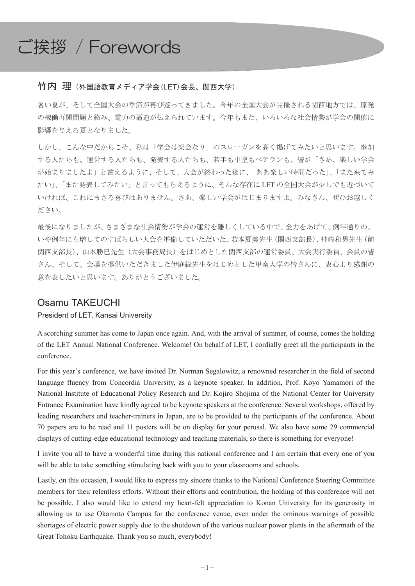# ご挨拶 / Forewords

#### 竹内 理 (外国語教育メディア学会(LET)会長、関西大学)

暑い夏が、そして全国大会の季節が再び巡ってきました。今年の全国大会が開催される関西地方では、原発 の稼働再開問題と絡み、電力の逼迫が伝えられています。今年もまた、いろいろな社会情勢が学会の開催に 影響を与える夏となりました。

しかし、こんな中だからこそ、私は「学会は楽会なり」のスローガンを高く掲げてみたいと思います。参加 する人たちも、確表する人たちも、若手も中堅もベテランも、皆が「さあ、楽しい学会 が始まりましたよ」と言えるように、そして、大会が終わった後に、「ああ楽しい時間だった」、「また来てみ たい」、「また発表してみたい」と言ってもらえるように、そんな存在に LET の全国大会が少しでも近づいて いければ、これにまさる喜びはありません。さあ、楽しい学会がはじまりますよ。みなさん、ぜひお越しく ださい。

最後になりましたが、さまざまな社会情勢が学会の運営を難しくしている中で、全力をあげて、例年通りの、 いや例年にも増してのすばらしい大会を準備していただいた、若本夏美先生(関西支部長)、神崎和男先生(前 関西支部長)、山本勝日先生(大会事務局長)をはじめとした関西支部の運営委員、大会実行委員、会員の皆 さん、そして、会場を提供いただきました伊庭緑先生をはじめとした甲南大学の皆さんに、衷心より感謝の 意を表したいと思います。ありがとうございました。

#### Osamu TAKEUCHI

#### President of LET, Kansai University

A scorching summer has come to Japan once again. And, with the arrival of summer, of course, comes the holding of the LET Annual National Conference. Welcome! On behalf of LET, I cordially greet all the participants in the conference.

For this year's conference, we have invited Dr. Norman Segalowitz, a renowned researcher in the field of second language fluency from Concordia University, as a keynote speaker. In addition, Prof. Koyo Yamamori of the National Institute of Educational Policy Research and Dr. Kojiro Shojima of the National Center for University Entrance Examination have kindly agreed to be keynote speakers at the conference. Several workshops, offered by leading researchers and teacher-trainers in Japan, are to be provided to the participants of the conference. About 70 papers are to be read and 11 posters will be on display for your perusal. We also have some 29 commercial displays of cutting-edge educational technology and teaching materials, so there is something for everyone!

I invite you all to have a wonderful time during this national conference and I am certain that every one of you will be able to take something stimulating back with you to your classrooms and schools.

Lastly, on this occasion, I would like to express my sincere thanks to the National Conference Steering Committee members for their relentless efforts. Without their efforts and contribution, the holding of this conference will not be possible. I also would like to extend my heart-felt appreciation to Konan University for its generosity in allowing us to use Okamoto Campus for the conference venue, even under the ominous warnings of possible shortages of electric power supply due to the shutdown of the various nuclear power plants in the aftermath of the Great Tohoku Earthquake. Thank you so much, everybody!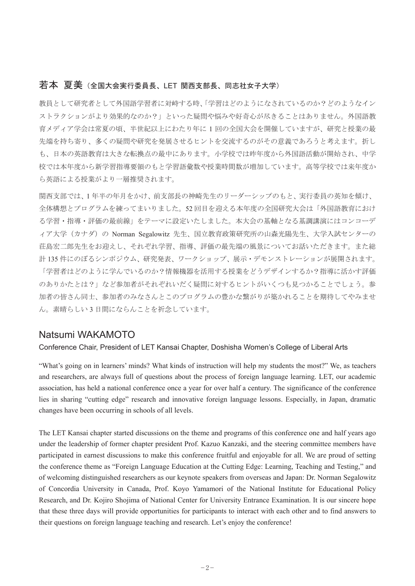#### 若本 夏美 (全国大会実行委員長、LET 関西支部長、同志社女子大学)

教員として研究者と人国語学習者に対峙する時、「学習はどのようになされているのか?どのようなイン ストラクションがより効果的なのか?」といった疑問や悩みや好奇心が尽きることはありません。外国語教 育メディア学会は常夏の頃、半世紀以上にわたり年に1回の全国大会を開催していますが、研究と授業の最 先端を持ち寄り、多くの疑問や研究を発展させるヒントを交流するのがその意義であろうと考えます。折し も、日本の英語教育は大きな転換点の最中にあります。小学校では昨年度から外国語活動が開始され、中学 校では本年度から新学習指導要領のもと学習語彙数や授業時間数が増加しています。高等学校では来年度か ら英語による授業がより一層推奨されます。

関西支部では、1年半の年月をかけ、前支部長の神崎先生のリーダーシップのもと、実行委員の革知を傾け、 全体構想とプログラムを練ってまいりました。52回目を迎える本年度の全国研究大会は「外国語教育におけ る学習・指導・評価の最前線」をテーマに設定いたしました。本大会の基軸となる基調講演にはコンコーデ ィア大学 (カナダ) の Norman Segalowitz 先生、国立教育政策研究所の山森光陽先生、大学入試センターの 荘島宏二郎先生をお迎えし、それぞれ学習、指導、評価の最先端の風景についてお話いただきます。また総 計135件にのぼるシンポジウム、研究発表、ワークショップ、展示・デモンストレーションが展開されます。 「学習者はどのように学んでいるのか?情報機器を活用する授業をどうデザインするか?指導に活かす評価 のありかたとは?」など参加者がそれぞれいだく疑問に対するヒントがいくつも見つかることでしょう。参 加者の皆さん同士、参加者のみなさんとこのプログラムの豊かな繋がりが築かれることを期待してやみませ ん。素晴らしい3日間にならんことを祈念しています。

#### Natsumi WAKAMOTO

#### Conference Chair, President of LET Kansai Chapter, Doshisha Women's College of Liberal Arts

"What's going on in learners' minds? What kinds of instruction will help my students the most?" We, as teachers and researchers, are always full of questions about the process of foreign language learning. LET, our academic association, has held a national conference once a year for over half a century. The significance of the conference lies in sharing "cutting edge" research and innovative foreign language lessons. Especially, in Japan, dramatic changes have been occurring in schools of all levels.

The LET Kansai chapter started discussions on the theme and programs of this conference one and half years ago under the leadership of former chapter president Prof. Kazuo Kanzaki, and the steering committee members have participated in earnest discussions to make this conference fruitful and enjoyable for all. We are proud of setting the conference theme as "Foreign Language Education at the Cutting Edge: Learning, Teaching and Testing," and of welcoming distinguished researchers as our keynote speakers from overseas and Japan: Dr. Norman Segalowitz of Concordia University in Canada, Prof. Koyo Yamamori of the National Institute for Educational Policy Research, and Dr. Kojiro Shojima of National Center for University Entrance Examination. It is our sincere hope that these three days will provide opportunities for participants to interact with each other and to find answers to their questions on foreign language teaching and research. Let's enjoy the conference!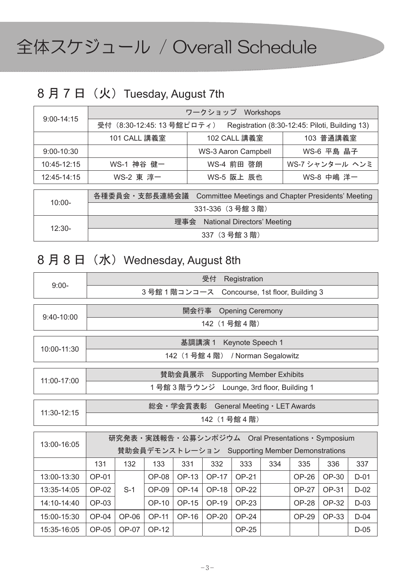# 全体スケジュール / Overall Schedule

## 8月7日 (火) Tuesday, August 7th

| $9:00 - 14:15$ |                                                                              | ワークショップ Workshops   |                 |  |  |  |
|----------------|------------------------------------------------------------------------------|---------------------|-----------------|--|--|--|
|                | 受付 (8:30-12:45: 13 号館ピロティ)<br>Registration (8:30-12:45: Piloti, Building 13) |                     |                 |  |  |  |
|                | 101 CALL 講義室                                                                 | 102 CALL 講義室        | 103 普通講義室       |  |  |  |
| $9:00 - 10:30$ |                                                                              | WS-3 Aaron Campbell | WS-6 平島 晶子      |  |  |  |
| 10:45-12:15    | WS-1 神谷 健一                                                                   | WS-4 前田 啓朗          | WS-7 シャンタール ヘンミ |  |  |  |
| 12:45-14:15    | WS-2 東 淳一                                                                    | WS-5 阪上 辰也          | WS-8 中嶋 洋一      |  |  |  |
|                |                                                                              |                     |                 |  |  |  |

| $10:00 -$ | 各種委員会 · 支部長連絡会議 Committee Meetings and Chapter Presidents' Meeting |
|-----------|--------------------------------------------------------------------|
|           | 331-336 (3号館3階)                                                    |
| $12:30-$  | 理事会 National Directors' Meeting                                    |
|           | 337(3 号館 3 階)                                                      |

## 8月8日 (水) Wednesday, August 8th

| $9:00-$                                         | 受付<br>Registration                              |         |         |          |              |                                   |     |              |       |        |
|-------------------------------------------------|-------------------------------------------------|---------|---------|----------|--------------|-----------------------------------|-----|--------------|-------|--------|
|                                                 | 3号館1階コンコース Concourse, 1st floor, Building 3     |         |         |          |              |                                   |     |              |       |        |
|                                                 | 開会行事<br><b>Opening Ceremony</b>                 |         |         |          |              |                                   |     |              |       |        |
| $9:40-10:00$                                    |                                                 |         |         |          | 142 (1号館4階)  |                                   |     |              |       |        |
|                                                 |                                                 |         |         |          |              |                                   |     |              |       |        |
| 10:00-11:30                                     |                                                 |         |         | 基調講演 1   |              | Keynote Speech 1                  |     |              |       |        |
|                                                 |                                                 |         |         |          |              | 142 (1号館 4 階) / Norman Segalowitz |     |              |       |        |
|                                                 |                                                 |         |         |          |              |                                   |     |              |       |        |
| 11:00-17:00                                     |                                                 |         |         | 賛助会員展示   |              | <b>Supporting Member Exhibits</b> |     |              |       |        |
|                                                 | 1号館3階ラウンジ Lounge, 3rd floor, Building 1         |         |         |          |              |                                   |     |              |       |        |
|                                                 |                                                 |         |         | 総会・学会賞表彰 |              | General Meeting · LET Awards      |     |              |       |        |
| 11:30-12:15                                     | 142 (1号館4階)                                     |         |         |          |              |                                   |     |              |       |        |
|                                                 |                                                 |         |         |          |              |                                   |     |              |       |        |
| 13:00-16:05                                     | 研究発表・実践報告・公募シンポジウム Oral Presentations・Symposium |         |         |          |              |                                   |     |              |       |        |
| 賛助会員デモンストレーション Supporting Member Demonstrations |                                                 |         |         |          |              |                                   |     |              |       |        |
|                                                 | 131                                             | 132     | 133     | 331      | 332          | 333                               | 334 | 335          | 336   | 337    |
| 13:00-13:30                                     | <b>OP-01</b>                                    |         | $OP-08$ | OP-13    | <b>OP-17</b> | OP-21                             |     | OP-26        | OP-30 | $D-01$ |
| 13:35-14:05                                     | OP-02                                           | $S-1$   | $OP-09$ | OP-14    | OP-18        | OP-22                             |     | OP-27        | OP-31 | $D-02$ |
| 14:10-14:40                                     | OP-03                                           |         | OP-10   | OP-15    | OP-19        | OP-23                             |     | <b>OP-28</b> | OP-32 | $D-03$ |
| 15:00-15:30                                     | $OP-04$                                         | OP-06   | OP-11   | OP-16    | OP-20        | <b>OP-24</b>                      |     | OP-29        | OP-33 | $D-04$ |
| 15:35-16:05                                     | $OP-05$                                         | $OP-07$ | OP-12   |          |              | <b>OP-25</b>                      |     |              |       | $D-05$ |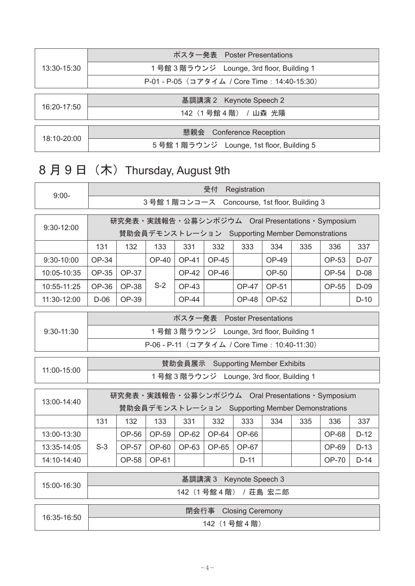| 13:30-15:30 | ポスター発表 Poster Presentations                  |
|-------------|----------------------------------------------|
|             | 1号館 3 階ラウンジ Lounge, 3rd floor, Building 1    |
|             | P-01 - P-05 (コアタイム / Core Time: 14:40-15:30) |
|             |                                              |
| 16:20-17:50 | 基調講演 2 Keynote Speech 2                      |
|             | 142(1号館4階) / 山森 光陽                           |
|             |                                              |
| 18:10-20:00 | 懇親会 Conference Reception                     |
|             | 5 号館 1 階ラウンジ Lounge, 1st floor, Building 5   |
|             |                                              |

## 8月9日 (木) Thursday, August 9th

| $9:00-$      |                                                                                                    |              |              |              |              |                                                 |       |     |                                                 | 受付<br>Registration |  |  |  |  |  |  |  |
|--------------|----------------------------------------------------------------------------------------------------|--------------|--------------|--------------|--------------|-------------------------------------------------|-------|-----|-------------------------------------------------|--------------------|--|--|--|--|--|--|--|
|              | 3号館1階コンコース Concourse, 1st floor, Building 3                                                        |              |              |              |              |                                                 |       |     |                                                 |                    |  |  |  |  |  |  |  |
| 9:30-12:00   | 研究発表·実践報告·公募シンポジウム Oral Presentations·Symposium<br>賛助会員デモンストレーション Supporting Member Demonstrations |              |              |              |              |                                                 |       |     |                                                 |                    |  |  |  |  |  |  |  |
|              | 131                                                                                                | 132          | 133          | 331          | 332          | 333                                             | 334   | 335 | 336                                             | 337                |  |  |  |  |  |  |  |
| $9:30-10:00$ | OP-34                                                                                              |              | <b>OP-40</b> | <b>OP-41</b> | OP-45        |                                                 | OP-49 |     | OP-53                                           | $D-07$             |  |  |  |  |  |  |  |
| 10:05-10:35  | OP-35                                                                                              | OP-37        |              | <b>OP-42</b> | OP-46        |                                                 | OP-50 |     | OP-54                                           | $D-08$             |  |  |  |  |  |  |  |
| 10:55-11:25  | OP-36                                                                                              | OP-38        | $S-2$        | <b>OP-43</b> |              | <b>OP-47</b>                                    | OP-51 |     | OP-55                                           | $D-09$             |  |  |  |  |  |  |  |
| 11:30-12:00  | D-06                                                                                               | OP-39        |              | <b>OP-44</b> |              | <b>OP-48</b>                                    | OP-52 |     |                                                 | $D-10$             |  |  |  |  |  |  |  |
|              |                                                                                                    |              |              |              |              | ポスター発表 Poster Presentations                     |       |     |                                                 |                    |  |  |  |  |  |  |  |
| 9:30-11:30   |                                                                                                    |              |              |              |              | 1 号館 3 階ラウンジ Lounge, 3rd floor, Building 1      |       |     |                                                 |                    |  |  |  |  |  |  |  |
|              | P-06 - P-11 (コアタイム / Core Time: 10:40-11:30)                                                       |              |              |              |              |                                                 |       |     |                                                 |                    |  |  |  |  |  |  |  |
|              |                                                                                                    |              |              |              |              |                                                 |       |     |                                                 |                    |  |  |  |  |  |  |  |
|              |                                                                                                    |              |              |              |              | 賛助会員展示 Supporting Member Exhibits               |       |     |                                                 |                    |  |  |  |  |  |  |  |
| 11:00-15:00  |                                                                                                    |              |              |              |              | 1号館3階ラウンジ Lounge, 3rd floor, Building 1         |       |     |                                                 |                    |  |  |  |  |  |  |  |
| 13:00-14:40  |                                                                                                    |              |              |              |              | 賛助会員デモンストレーション Supporting Member Demonstrations |       |     | 研究発表·実践報告·公募シンポジウム Oral Presentations·Symposium |                    |  |  |  |  |  |  |  |
|              | 131                                                                                                | 132          | 133          | 331          | 332          | 333                                             | 334   | 335 | 336                                             | 337                |  |  |  |  |  |  |  |
| 13:00-13:30  |                                                                                                    | OP-56        | OP-59        | OP-62        | OP-64        | OP-66                                           |       |     | <b>OP-68</b>                                    | $D-12$             |  |  |  |  |  |  |  |
| 13:35-14:05  | $S-3$                                                                                              | OP-57        | OP-60        | OP-63        | <b>OP-65</b> | OP-67                                           |       |     | OP-69                                           | $D-13$             |  |  |  |  |  |  |  |
| 14:10-14:40  |                                                                                                    | <b>OP-58</b> | OP-61        |              |              | $D-11$                                          |       |     | <b>OP-70</b>                                    | $D-14$             |  |  |  |  |  |  |  |
| 15:00-16:30  |                                                                                                    |              |              |              |              | 基調講演 3 Keynote Speech 3<br>142 (1号館4階) / 荘島 宏二郎 |       |     |                                                 |                    |  |  |  |  |  |  |  |
| 16:35-16:50  |                                                                                                    |              |              |              |              | 閉会行事 Closing Ceremony                           |       |     |                                                 |                    |  |  |  |  |  |  |  |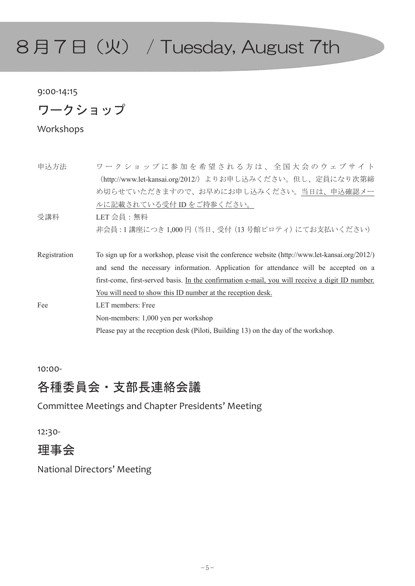# $8$ 月7日(火) / Tuesday, August  $7$ th

#### 9:00Ǧ14:15

ワークショップ

Workshops

| 申认方法         | ワークショップに参加を希望される方は、全国大会のウェブサイト                                                                   |
|--------------|--------------------------------------------------------------------------------------------------|
|              | (http://www.let-kansai.org/2012/) よりお申し込みください。但し、定員になり次第締                                        |
|              | め切らせていただきますので、お早めにお申し込みください。当日は、申込確認メー                                                           |
|              | ルに記載されている受付 ID をご持参ください。                                                                         |
| 受講料          | $LET  会員 :無料$                                                                                    |
|              | 非会員 : 1 講座につき 1,000 円 (当日、受付 (13 号館ピロティ) にてお支払いください)                                             |
|              |                                                                                                  |
| Registration | To sign up for a workshop, please visit the conference website (http://www.let-kansai.org/2012/) |
|              | and send the necessary information. Application for attendance will be accepted on a             |
|              | first-come, first-served basis. In the confirmation e-mail, you will receive a digit ID number.  |
|              |                                                                                                  |
|              | <u>You will need to show this ID number at the reception desk.</u>                               |
| Fee          | LET members: Free                                                                                |
|              | Non-members: 1,000 yen per workshop                                                              |

10:00Ǧ

### 各種委員会 · 支部長連絡会議

Committee Meetings and Chapter Presidents' Meeting

12:30-

### 理事会

National Directors' Meeting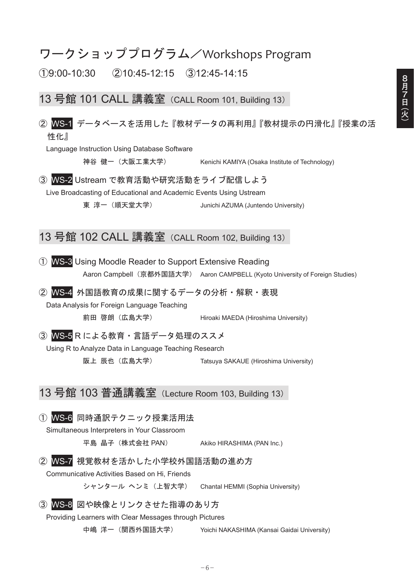### ワークショッププログラム/Workshops Program

 $(1)9:00-10:30$   $(2)10:45-12:15$   $(3)12:45-14:15$ 

13 号館 101 CALL 講義室 (CALL Room 101, Building 13)

#### ② WS-1 データベースを活用した『教材データの再利用』『教材提示の円滑化』『授業の活 性化』

Language Instruction Using Database Software

神谷健一 (大阪工業大学) Kenichi KAMIYA (Osaka Institute of Technology)

3 WS-2 Ustream で教育活動や研究活動をライブ配信しよう Live Broadcasting of Educational and Academic Events Using Ustream

東淳一 (順天堂大学) Junichi AZUMA (Juntendo University)

### 13 号館 102 CALL 講義室 (CALL Room 102, Building 13)

WS-3 Using Moodle Reader to Support Extensive Reading Aaron Campbell (京都外国語大学) Aaron CAMPBELL (Kyoto University of Foreign Studies)

② WS-4 外国語教育の成果に関するデータの分析·解釈·表現

Data Analysis for Foreign Language Teaching

前田 啓朗 (広島大学) Hiroaki MAEDA (Hiroshima University)

3 WS-5Rによる教育·言語データ処理のススメ

Using R to Analyze Data in Language Teaching Research

阪上 辰也 (広島大学) Tatsuya SAKAUE (Hiroshima University)

13 号館 103 普通講義室 (Lecture Room 103, Building 13)

#### ① WS-6 同時通訳テクニック授業活用法

Simultaneous Interpreters in Your Classroom

平島 晶子 (株式会社 PAN) Akiko HIRASHIMA (PAN Inc.)

② WS-7 視覚教材を活かした小学校外国語活動の進め方

Communicative Activities Based on Hi, Friends

シャンタール ヘンミ (上智大学) Chantal HEMMI (Sophia University)

#### 3 WS-8 図や映像とリンクさせた指導のあり方

Providing Learners with Clear Messages through Pictures

中嶋洋一 (関西外国語大学) Yoichi NAKASHIMA (Kansai Gaidai University)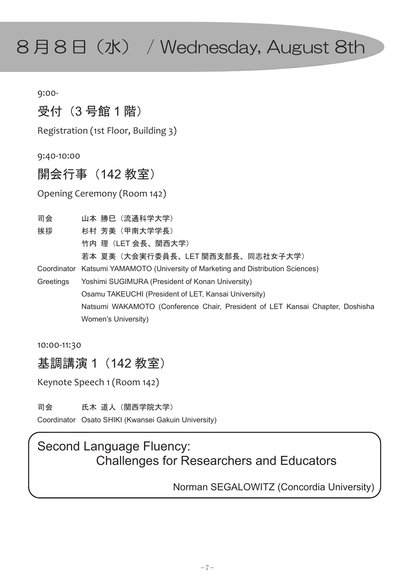# 8月8日 (水) / Wednesday, August 8th

9:00Ǧ

## 受付 (3号館1階)

Registration (1st Floor, Building 3)

9:40Ǧ10:00

## 開会行事 (142 教室)

Opening Ceremony (Room 142)

- 司会 山本 勝巳(流通科学大学)
- 挨拶 杉村 芳美(甲南大学学長)
	- 竹内 理(LET 会長、関西大学)

若本 夏美(大会実行委員長、LET 関西支部長、同志社女子大学)

- Coordinator Katsumi YAMAMOTO (University of Marketing and Distribution Sciences)
- Greetings Yoshimi SUGIMURA (President of Konan University) Osamu TAKEUCHI (President of LET, Kansai University) Natsumi WAKAMOTO (Conference Chair, President of LET Kansai Chapter, Doshisha Women's University)

10:00-11:30

基調講演 1 (142 教室)

Keynote Speech 1 (Room 142)

司会 氏木 道人(関西学院大学)

Coordinator Osato SHIKI (Kwansei Gakuin University)

## Second Language Fluency: Challenges for Researchers and Educators

Norman SEGALOWITZ (Concordia University)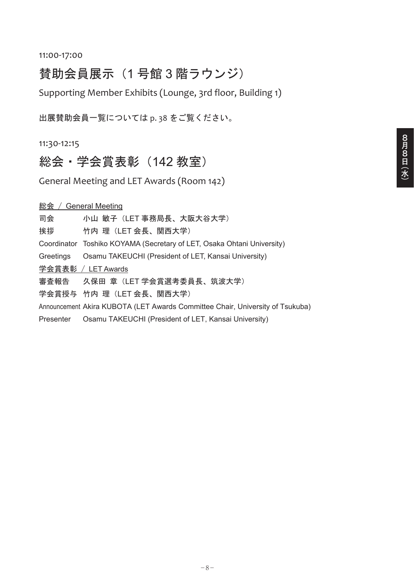## 賛助会員展示 (1号館3階ラウンジ)

Supporting Member Exhibits (Lounge, 3rd floor, Building 1)

出展賛助会員一覧については p. 38 をご覧ください。

11:30Ǧ12:15

総会·学会賞表彰 (142 教室)

General Meeting and LET Awards (Room 142)

<u>総会 / General Meeting</u>

司会 小山 敏子(LET 事務局長、大阪大谷大学)

挨拶 竹内 理(LET 会長、関西大学)

Coordinator Toshiko KOYAMA (Secretary of LET, Osaka Ohtani University)

Greetings Osamu TAKEUCHI (President of LET, Kansai University)

学会賞表彰 / LET Awards

審査報告 久保田 章(LET 学会賞選考委員長、筑波大学)

学会賞授与 竹内 理(LET 会長、関西大学)

Announcement Akira KUBOTA (LET Awards Committee Chair, University of Tsukuba)

Presenter Osamu TAKEUCHI (President of LET, Kansai University)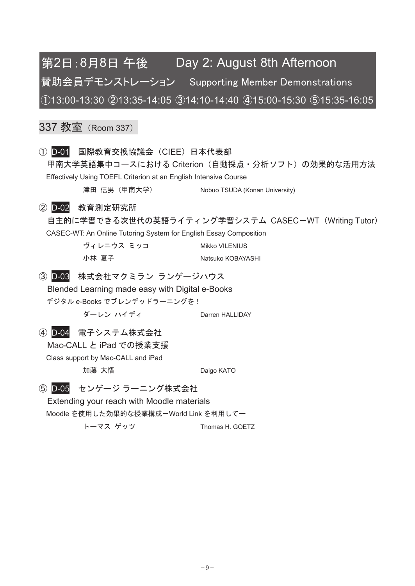## 第2日:8月8日 午後 Day 2: August 8th Afternoon 賛助会員デモンストレーション Supporting Member Demonstrations 㽲13:00-13:30 㽳13:35-14:05 㽴14:10-14:40 㽵15:00-15:30 㽶15:35-16:05

### 337 教室 (Room 337)

① D-01 国際教育交換協議会 (CIEE) 日本代表部 甲南大学英語集中コースにおける Criterion(自動採点・分析ソフト)の効果的な活用方法 Effectively Using TOEFL Criterion at an English Intensive Course 津田 信男 (甲南大学) Nobuo TSUDA (Konan University)

#### ② D-02 教育測定研究所

自主的に学習できる次世代の英語ライティング学習システム CASEC–WT (Writing Tutor) CASEC-WT: An Online Tutoring System for English Essay Composition

> ヴィレニウス ミッコ Mikko VILENIUS 小林 夏子 しゅうしゃ Natsuko KOBAYASHI

#### 3 D-03 株式会社マクミラン ランゲージハウス

Blended Learning made easy with Digital e-Books

デジタル e-Books でブレンデッドラーニングを!

ダーレン ハイディ Darren HALLIDAY

#### (4) D-04 電子システム株式会社

Mac-CALL と iPad での授業支援

Class support by Mac-CALL and iPad 加藤 大悟

Daigo KATO

#### 5 D-05 センゲージ ラーニング株式会社

Extending your reach with Moodle materials

Moodle を使用した効果的な授業構成ーWorld Link を利用してー

トーマス ゲッツ Thomas H. GOETZ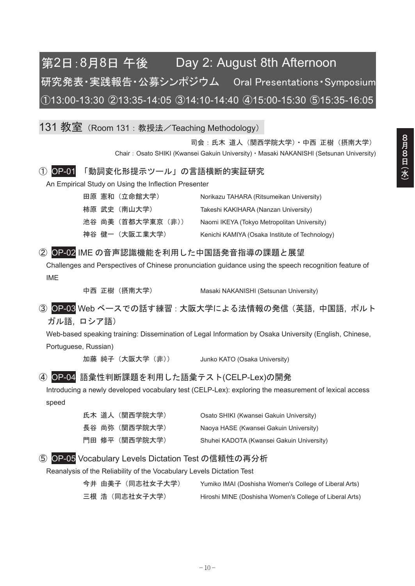## 第2日:8月8日 午後 Day 2: August 8th Afternoon 研究発表·実践報告·公募シンポジウム Oral Presentations·Symposium 㽲13:00-13:30 㽳13:35-14:05 㽴14:10-14:40 㽵15:00-15:30 㽶15:35-16:05

131 教室 (Room 131 : 教授法/Teaching Methodology)

司会: 氏木 道人 (関西学院大学) · 中西 正樹 (摂南大学) Chair: Osato SHIKI (Kwansei Gakuin University) · Masaki NAKANISHI (Setsunan University)

#### ① OP-01 「動詞変化形提示ツール」の言語横断的実証研究

An Empirical Study on Using the Inflection Presenter

|  | 田原 憲和 (立命館大学)      | Norikazu TAHARA (Ritsumeikan University)       |
|--|--------------------|------------------------------------------------|
|  | 柿原 武史 (南山大学)       | Takeshi KAKIHARA (Nanzan University)           |
|  | 池谷 尚美 (首都大学東京 (非)) | Naomi IKEYA (Tokyo Metropolitan University)    |
|  | 神谷 健一(大阪工業大学)      | Kenichi KAMIYA (Osaka Institute of Technology) |

#### ② OP-02 IME の音声認識機能を利用した中国語発音指導の課題と展望

Challenges and Perspectives of Chinese pronunciation guidance using the speech recognition feature of IME

中西 正樹 (摂南大学) Masaki NAKANISHI (Setsunan University)

3 OP-03 Web ベースでの話す練習: 大阪大学による法情報の発信(英語, 中国語, ポルト ガル語、ロシア語)

Web-based speaking training: Dissemination of Legal Information by Osaka University (English, Chinese, Portuguese, Russian)

加藤 純子 (大阪大学 (非)) Junko KATO (Osaka University)

#### ④ OP-04 語彙性判断課題を利用した語彙テスト(CELP-Lex)の開発

Introducing a newly developed vocabulary test (CELP-Lex): exploring the measurement of lexical access speed

|  | 氏木 道人(関西学院大学)  | Osato SHIKI (Kwansei Gakuin University)   |
|--|----------------|-------------------------------------------|
|  | 長谷 尚弥(関西学院大学)  | Naoya HASE (Kwansei Gakuin University)    |
|  | 門田 修平 (関西学院大学) | Shuhei KADOTA (Kwansei Gakuin University) |

#### 5 OP-05 Vocabulary Levels Dictation Test の信頼性の再分析

Reanalysis of the Reliability of the Vocabulary Levels Dictation Test

| 今井 由美子(同志社女子大学) | Yumiko IMAI (Doshisha Women's College of Liberal Arts)  |
|-----------------|---------------------------------------------------------|
| 三根 浩(同志社女子大学)   | Hiroshi MINE (Doshisha Women's College of Liberal Arts) |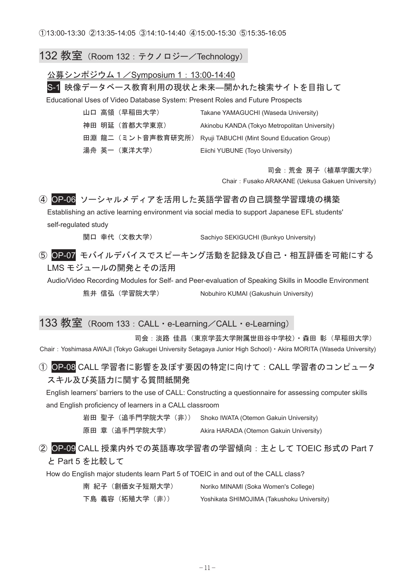#### 132 教室 (Room 132 : テクノロジー/Technology)

#### 公募シンポジウム1/Symposium 1: 13:00-14:40

S-1 映像データベース教育利用の現状と未来––開かれた検索サイトを目指して

Educational Uses of Video Database System: Present Roles and Future Prospects

|  | 山口 高領 (早稲田大学)  | Takane YAMAGUCHI (Waseda University)                         |
|--|----------------|--------------------------------------------------------------|
|  | 神田 明延 (首都大学東京) | Akinobu KANDA (Tokyo Metropolitan University)                |
|  |                | 田淵 龍二(ミント音声教育研究所) Ryuji TABUCHI (Mint Sound Education Group) |
|  | 湯舟 英一(東洋大学)    | Eiichi YUBUNE (Toyo University)                              |

司会:荒金 房子 (植草学園大学)

Chair㧦Fusako ARAKANE (Uekusa Gakuen University)

#### (4) OP-06 ソーシャルメディアを活用した英語学習者の自己調整学習環境の構築

Establishing an active learning environment via social media to support Japanese EFL students' self-regulated study

関口 幸代 (文教大学) Sachiyo SEKIGUCHI (Bunkyo University)

#### 5 OP-07 モバイルデバイスでスピーキング活動を記録及び自己·相互評価を可能にする LMS モジュールの開発とその活用

Audio/Video Recording Modules for Self- and Peer-evaluation of Speaking Skills in Moodle Environment 熊井信弘 (学習院大学) Nobuhiro KUMAI (Gakushuin University)

#### 133 教室 (Room 133 : CALL · e-Learning / CALL · e-Learning)

司会:淡路 佳昌(東京学芸大学附属世田谷中学校)・森田 彰(早稲田大学) Chair: Yoshimasa AWAJI (Tokyo Gakugei University Setagaya Junior High School) · Akira MORITA (Waseda University)

#### ① OP-08 CALL 学習者に影響を及ぼす要因の特定に向けて: CALL 学習者のコンピュータ スキル及び英語力に関する質問紙開発

English learners' barriers to the use of CALL: Constructing a questionnaire for assessing computer skills and English proficiency of learners in a CALL classroom

岩田 聖子 (追手門学院大学 (非)) Shoko IWATA (Otemon Gakuin University)

原田章 (追手門学院大学) Akira HARADA (Otemon Gakuin University)

#### ② OP-09 CALL 授業内外での英語専攻学習者の学習傾向:主として TOEIC 形式の Part 7 と Part 5 を比較して

How do English major students learn Part 5 of TOEIC in and out of the CALL class?

| 南 紀子 (創価女子短期大学) | Noriko MINAMI (Soka Women's College)       |
|-----------------|--------------------------------------------|
| 下島 義容(拓殖大学(非))  | Yoshikata SHIMOJIMA (Takushoku University) |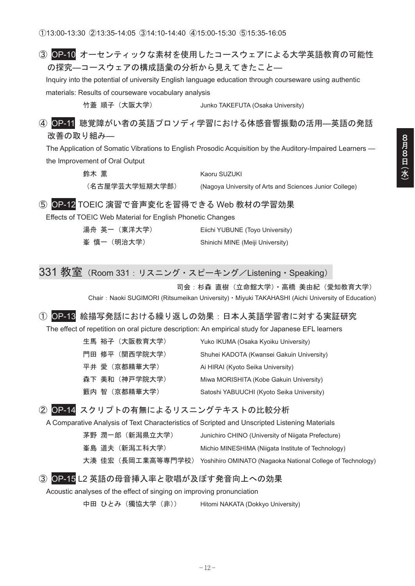#### 3 OP-10 オーセンティックな素材を使用したコースウェアによる大学英語教育の可能性 の探究–コースウェアの構成語彙の分析から見えてきたこと–

Inquiry into the potential of university English language education through courseware using authentic materials: Results of courseware vocabulary analysis

竹蓋 順子(大阪大学) Junko TAKEFUTA (Osaka University)

4 OP-11 聴覚障がい者の英語プロソディ学習における体感音響振動の活用–英語の発話 改善の取り組み––

The Application of Somatic Vibrations to English Prosodic Acquisition by the Auditory-Impaired Learners the Improvement of Oral Output

> 鈴木 董 インコン インタン Kaoru SUZUKI (名古屋学芸大学短期大学部) (Nagoya University of Arts and Sciences Junior College)

#### (5) OP-12 TOEIC 演習で音声変化を習得できる Web 教材の学習効果

Effects of TOEIC Web Material for English Phonetic Changes

| 湯舟 英一(東洋大学) | Eiichi YUBUNE (Toyo University)  |
|-------------|----------------------------------|
| 峯 慎一(明治大学)  | Shinichi MINE (Meiji University) |

## 331 教室 (Room 331: リスニング・スピーキング/Listening・Speaking)

司会: 杉森 直樹 (立命館大学) • 高橋 美由紀 (愛知教育大学)

Chair: Naoki SUGIMORI (Ritsumeikan University) · Miyuki TAKAHASHI (Aichi University of Education)

#### ① OP-13 絵描写発話における繰り返しの効果:日本人英語学習者に対する実証研究

The effect of repetition on oral picture description: An empirical study for Japanese EFL learners

| 生馬 裕子 (大阪教育大学) | Yuko IKUMA (Osaka Kyoiku University)      |
|----------------|-------------------------------------------|
| 門田 修平 (関西学院大学) | Shuhei KADOTA (Kwansei Gakuin University) |
| 平井 愛(京都精華大学)   | Ai HIRAI (Kyoto Seika University)         |
| 森下 美和 (神戸学院大学) | Miwa MORISHITA (Kobe Gakuin University)   |
| 籔内 智(京都精華大学)   | Satoshi YABUUCHI (Kyoto Seika University) |
|                |                                           |

#### 2 OP-14 スクリプトの有無によるリスニングテキストの比較分析

A Comparative Analysis of Text Characteristics of Scripted and Unscripted Listening Materials

| 茅野 潤一郎(新潟県立大学) | Junichiro CHINO (University of Niigata Prefecture)                           |
|----------------|------------------------------------------------------------------------------|
| 峯島 道夫(新潟工科大学)  | Michio MINESHIMA (Niigata Institute of Technology)                           |
|                | 大湊 佳宏(長岡工業高等専門学校) Yoshihiro OMINATO (Nagaoka National College of Technology) |

#### 3 OP-15 L2 英語の母音挿入率と歌唱が及ぼす発音向上への効果

Acoustic analyses of the effect of singing on improving pronunciation

中田 ひとみ (獨協大学 (非)) Hitomi NAKATA (Dokkyo University)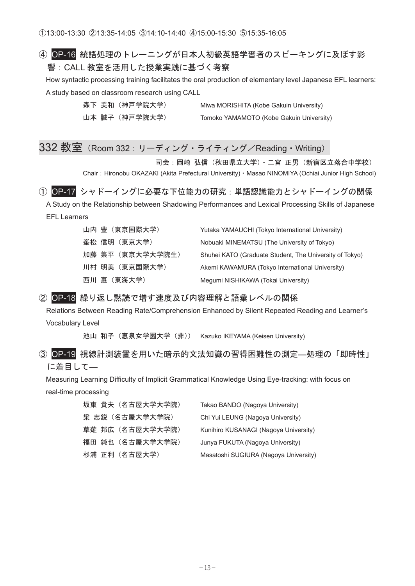#### 4 OP-16 統語処理のトレーニングが日本人初級英語学習者のスピーキングに及ぼす影 響: CALL 教室を活用した授業実践に基づく考察

How syntactic processing training facilitates the oral production of elementary level Japanese EFL learners: A study based on classroom research using CALL

|  | 森下 美和 (神戸学院大学) | Miwa MORISHITA (Kobe Gakuin University)  |
|--|----------------|------------------------------------------|
|  | 山本 誠子 (神戸学院大学) | Tomoko YAMAMOTO (Kobe Gakuin University) |

## 332 教室 (Room 332: リーディング・ライティング/Reading・Writing)

司会:岡崎 弘信(秋田県立大学)・二宮 正男(新宿区立落合中学校)

Chair: Hironobu OKAZAKI (Akita Prefectural University) · Masao NINOMIYA (Ochiai Junior High School)

① OP-17 シャドーイングに必要な下位能力の研究:単語認識能力とシャドーイングの関係 A Study on the Relationship between Shadowing Performances and Lexical Processing Skills of Japanese

EFL Learners

| 山内 豊 (東京国際大学)    | Yutaka YAMAUCHI (Tokyo International University)        |
|------------------|---------------------------------------------------------|
| 峯松 信明 (東京大学)     | Nobuaki MINEMATSU (The University of Tokyo)             |
| 加藤 集平 (東京大学大学院生) | Shuhei KATO (Graduate Student, The University of Tokyo) |
| 川村 明美 (東京国際大学)   | Akemi KAWAMURA (Tokyo International University)         |
| 西川 惠 (東海大学)      | Megumi NISHIKAWA (Tokai University)                     |

#### 2 OP-18 繰り返し黙読で増す速度及び内容理解と語彙レベルの関係

Relations Between Reading Rate/Comprehension Enhanced by Silent Repeated Reading and Learner's Vocabulary Level

池山 和子 (恵泉女学園大学 (非)) Kazuko IKEYAMA (Keisen University)

3 OP-19 視線計測装置を用いた暗示的文法知識の習得困難性の測定––処理の「即時性」 に着目して–

Measuring Learning Difficulty of Implicit Grammatical Knowledge Using Eye-tracking: with focus on real-time processing

| 坂東 貴夫(名古屋大学大学院)  | Takao BANDO (Nagoya University)       |
|------------------|---------------------------------------|
| 梁 志鋭(名古屋大学大学院)   | Chi Yui LEUNG (Nagoya University)     |
| 草薙 邦広 (名古屋大学大学院) | Kunihiro KUSANAGI (Nagova University) |
| 福田 純也(名古屋大学大学院)  | Junya FUKUTA (Nagoya University)      |
| 杉浦 正利(名古屋大学)     | Masatoshi SUGIURA (Nagoya University) |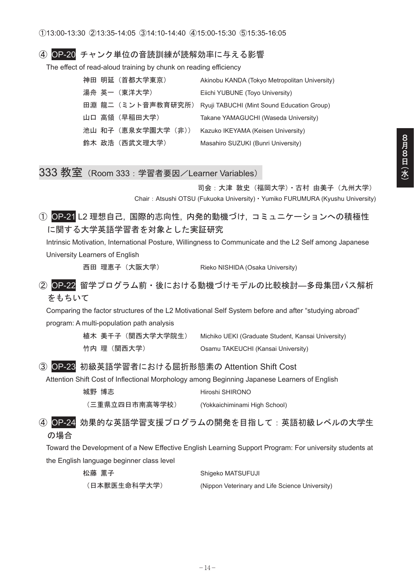#### ④ OP-20 チャンク単位の音読訓練が読解効率に与える影響

The effect of read-aloud training by chunk on reading efficiency

|  | 神田 明延 (首都大学東京)    | Akinobu KANDA (Tokyo Metropolitan University) |
|--|-------------------|-----------------------------------------------|
|  | 湯舟 英一 (東洋大学)      | Eiichi YUBUNE (Toyo University)               |
|  | 田淵 龍二(ミント音声教育研究所) | Ryuji TABUCHI (Mint Sound Education Group)    |
|  | 山口 高領 (早稲田大学)     | Takane YAMAGUCHI (Waseda University)          |
|  | 池山 和子(恵泉女学園大学(非)) | Kazuko IKEYAMA (Keisen University)            |
|  | 鈴木 政浩 (西武文理大学)    | Masahiro SUZUKI (Bunri University)            |

#### 333 教室 (Room 333: 学習者要因/Learner Variables)

司会:大津敦史 (福岡大学) · 古村 由美子 (九州大学) Chair: Atsushi OTSU (Fukuoka University) · Yumiko FURUMURA (Kyushu University)

① OP-21 L2 理想自己, 国際的志向性, 内発的動機づけ, コミュニケーションへの積極性 に関する大学英語学習者を対象とした実証研究

Intrinsic Motivation, International Posture, Willingness to Communicate and the L2 Self among Japanese University Learners of English

西田 理恵子 (大阪大学) Rieko NISHIDA (Osaka University)

2 OP-22 留学プログラム前·後における動機づけモデルの比較検討––多母集団パス解析 をもちいて

Comparing the factor structures of the L2 Motivational Self System before and after "studying abroad" program: A multi-population path analysis

| 植木 美千子 (関西大学大学院生) | Michiko UEKI (Graduate Student, Kansai University) |
|-------------------|----------------------------------------------------|
| 竹内 理(関西大学)        | Osamu TAKEUCHI (Kansai University)                 |

#### 3 OP-23 初級英語学習者における屈折形態素の Attention Shift Cost

Attention Shift Cost of Inflectional Morphology among Beginning Japanese Learners of English

| 城野 博志          | Hiroshi SHIRONO               |
|----------------|-------------------------------|
| (三重県立四日市南高等学校) | (Yokkaichiminami High School) |

4 OP-24 効果的な英語学習支援プログラムの開発を目指して:英語初級レベルの大学生 の場合

Toward the Development of a New Effective English Learning Support Program: For university students at the English language beginner class level

| 松藤 薫子        | Shigeko MATSUFUJI                               |
|--------------|-------------------------------------------------|
| (日本獣医生命科学大学) | (Nippon Veterinary and Life Science University) |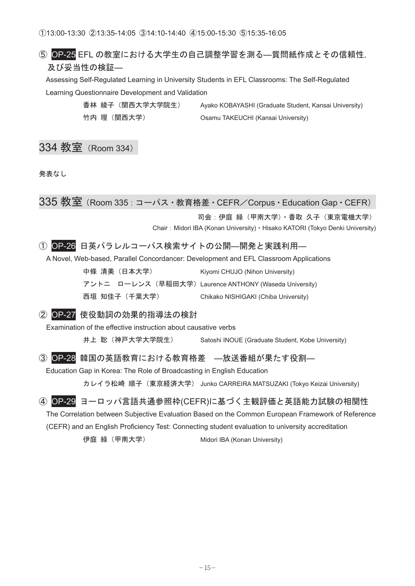#### 6 OP-25 EFL の教室における大学生の自己調整学習を測る–質問紙作成とその信頼性, 及び妥当性の検証–

Assessing Self-Regulated Learning in University Students in EFL Classrooms: The Self-Regulated Learning Questionnaire Development and Validation

竹内 理 (関西大学) Csamu TAKEUCHI (Kansai University)

香林 綾子(関西大学大学院生) Ayako KOBAYASHI (Graduate Student, Kansai University)

### 334 教室 (Room 334)

発表なし

335 教室 (Room 335: コーパス・教育格差・CEFR/Corpus · Education Gap · CEFR)

司会:伊庭 緑 (甲南大学) • 香取 久子 (東京雷機大学)

Chair: Midori IBA (Konan University) · Hisako KATORI (Tokyo Denki University)

#### ① OP-26 日英パラレルコーパス検索サイトの公開––開発と実践利用–

A Novel, Web-based, Parallel Concordancer: Development and EFL Classroom Applications

| 中條 清美(日本大学)  | Kiyomi CHUJO (Nihon University)                       |
|--------------|-------------------------------------------------------|
|              | アントニ ローレンス(早稲田大学)Laurence ANTHONY (Waseda University) |
| 西垣 知佳子(千葉大学) | Chikako NISHIGAKI (Chiba University)                  |

② OP-27 使役動詞の効果的指導法の検討

Examination of the effective instruction about causative verbs

井上 聡(神戸大学大学院生) Satoshi INOUE (Graduate Student, Kobe University)

#### ③ OP-28 韓国の英語教育における教育格差 —放送番組が果たす役割—

Education Gap in Korea: The Role of Broadcasting in English Education

カレイラ松崎 順子(東京経済大学) Junko CARREIRA MATSUZAKI (Tokyo Keizai University)

#### ④ OP-29 ヨーロッパ言語共通参照枠(CEFR)に基づく主観評価と英語能力試験の相関性

The Correlation between Subjective Evaluation Based on the Common European Framework of Reference

(CEFR) and an English Proficiency Test: Connecting student evaluation to university accreditation

伊庭 緑 (甲南大学) <br>
Midori IBA (Konan University)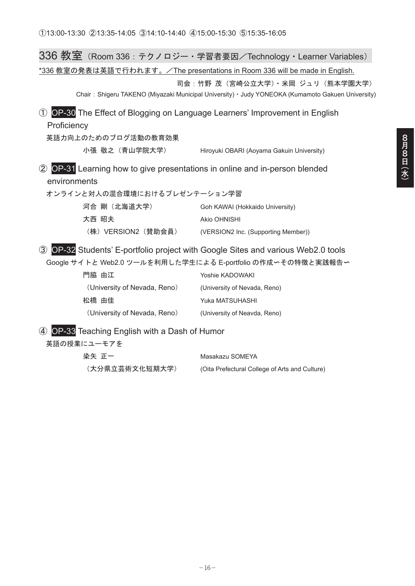|                                                                                                                                         | 336 教室(Room 336:テクノロジー・学習者要因/Technology・Learner Variables)                                                                                    |  |
|-----------------------------------------------------------------------------------------------------------------------------------------|-----------------------------------------------------------------------------------------------------------------------------------------------|--|
| <u>*336 教室の発表は英語で行われます。/The presentations in Room 336 will be made in English.</u>                                                      |                                                                                                                                               |  |
| 司会 : 竹野 茂 (宮崎公立大学)・米岡 ジュリ (熊本学園大学)<br>Chair: Shigeru TAKENO (Miyazaki Municipal University) · Judy YONEOKA (Kumamoto Gakuen University) |                                                                                                                                               |  |
| OP-30 The Effect of Blogging on Language Learners' Improvement in English<br>$\circled{1}$<br>Proficiency                               |                                                                                                                                               |  |
| 英語力向上のためのブログ活動の教育効果                                                                                                                     |                                                                                                                                               |  |
| 小張 敬之 (青山学院大学)                                                                                                                          | Hiroyuki OBARI (Aoyama Gakuin University)                                                                                                     |  |
| OP-31 Learning how to give presentations in online and in-person blended<br>(2)<br>environments<br>オンラインと対人の混合環境におけるプレゼンテーション学習         |                                                                                                                                               |  |
| 河合 剛(北海道大学)                                                                                                                             | Goh KAWAI (Hokkaido University)                                                                                                               |  |
| 大西 昭夫                                                                                                                                   | Akio OHNISHI                                                                                                                                  |  |
| (株)VERSION2(賛助会員)                                                                                                                       | (VERSION2 Inc. (Supporting Member))                                                                                                           |  |
| (3)                                                                                                                                     | OP-32 Students' E-portfolio project with Google Sites and various Web2.0 tools<br>Google サイトと Web2.0 ツールを利用した学生による E-portfolio の作成っその特徴と実践報告〜 |  |
| 門脇 由江                                                                                                                                   | Yoshie KADOWAKI                                                                                                                               |  |
| (University of Nevada, Reno)                                                                                                            | (University of Nevada, Reno)                                                                                                                  |  |
| 松橋 由佳                                                                                                                                   | Yuka MATSUHASHI                                                                                                                               |  |
| (University of Nevada, Reno)                                                                                                            | (University of Neavda, Reno)                                                                                                                  |  |
| OP-33 Teaching English with a Dash of Humor<br>$\bf(4)$<br>英語の授業にユーモアを                                                                  |                                                                                                                                               |  |

| 染矢 正一          | Masakazu SOMEYA                                |
|----------------|------------------------------------------------|
| (大分県立芸術文化短期大学) | (Oita Prefectural College of Arts and Culture) |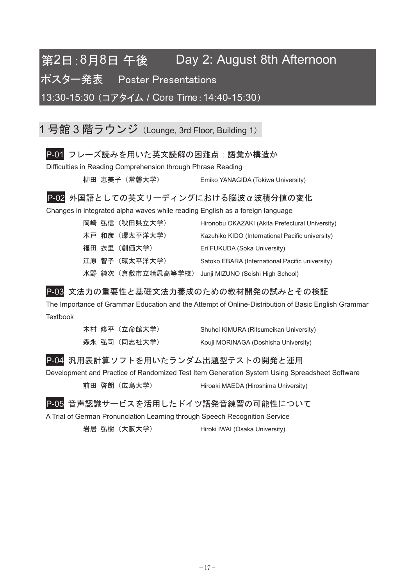## 第2日:8月8日 午後 Day 2: August 8th Afternoon

 $\mathbb H$ <br>  $\mathbb R$ <br>  $\mathbb R$   $\mathbb R$   $\mathbb R$   $\mathbb R$   $\mathbb R$   $\mathbb R$   $\mathbb R$   $\mathbb R$   $\mathbb R$   $\mathbb R$   $\mathbb R$   $\mathbb R$   $\mathbb R$   $\mathbb R$   $\mathbb R$   $\mathbb R$   $\mathbb R$   $\mathbb R$   $\mathbb R$   $\mathbb R$   $\mathbb R$   $\mathbb R$   $\mathbb R$   $\mathbb R$   $\mathbb R$   $\mathbb R$   $\mathbb R$   $\mathbb R$   $\mathbb R$ 

13:30-15:30 (コアタイム / Core Time: 14:40-15:30)

1 号館 3 階ラウンジ (Lounge, 3rd Floor, Building 1)

#### P-01 フレーズ読みを用いた英文読解の困難点:語彙か構造か

Difficulties in Reading Comprehension through Phrase Reading

柳田 恵美子 (常磐大学) <br>
Emiko YANAGIDA (Tokiwa University)

#### $P$ -02 外国語としての英文リーディングにおける脳波α波積分値の変化

Changes in integrated alpha waves while reading English as a foreign language

|  | 岡崎 弘信 (秋田県立大学)     | Hironobu OKAZAKI (Akita Prefectural University)  |
|--|--------------------|--------------------------------------------------|
|  | 木戸 和彦 (環太平洋大学)     | Kazuhiko KIDO (International Pacific university) |
|  | 福田 衣里(創価大学)        | Eri FUKUDA (Soka University)                     |
|  | 江原 智子 (環太平洋大学)     | Satoko EBARA (International Pacific university)  |
|  | 水野 純次 (倉敷市立精思高等学校) | Junji MIZUNO (Seishi High School)                |

#### P-03 文法力の重要性と基礎文法力養成のための教材開発の試みとその検証

The Importance of Grammar Education and the Attempt of Online-Distribution of Basic English Grammar **Textbook** 

|  | 木村 修平(立命館大学) | Shuhei KIMURA (Ritsumeikan University) |
|--|--------------|----------------------------------------|
|  | 森永 弘司(同志社大学) | Kouji MORINAGA (Doshisha University)   |

#### P-04 汎用表計算ソフトを用いたランダム出題型テストの開発と運用

Development and Practice of Randomized Test Item Generation System Using Spreadsheet Software

前田 啓朗 (広島大学) Hiroaki MAEDA (Hiroshima University)

P-05 音声認識サービスを活用したドイツ語発音練習の可能性について

A Trial of German Pronunciation Learning through Speech Recognition Service

岩居 弘樹 (大阪大学) Hiroki IWAI (Osaka University)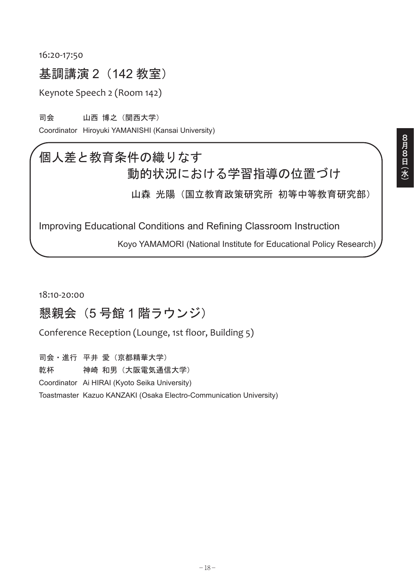16:20-17:50

## 基調講演 2 (142 教室)

Keynote Speech 2 (Room 142)

司会 山西 博之(関西大学)

Coordinator Hiroyuki YAMANISHI (Kansai University)

## 個人差と教育条件の織りなす 動的状況における学習指導の位置づけ

山森 光陽 (国立教育政策研究所 初等中等教育研究部)

Improving Educational Conditions and Refining Classroom Instruction

Koyo YAMAMORI (National Institute for Educational Policy Research)

18:10Ǧ20:00

## 懇親会 (5号館1階ラウンジ)

Conference Reception (Lounge, 1st floor, Building 5)

司会·進行 平井 愛(京都精華大学) 乾杯 神崎 和男(大阪電気通信大学) Coordinator Ai HIRAI (Kyoto Seika University) Toastmaster Kazuo KANZAKI (Osaka Electro-Communication University)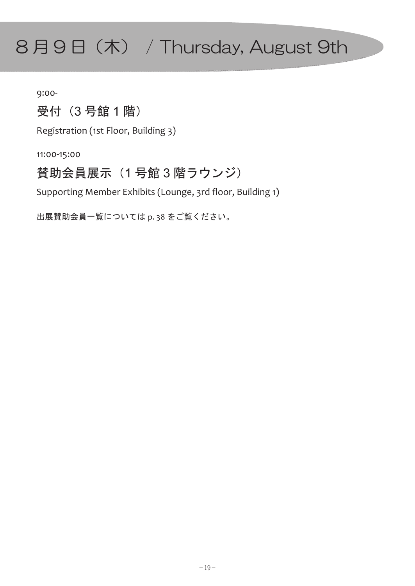# $8$ 月9日(木) / Thursday, August 9th

9:00Ǧ

## 受付 (3号館1階)

Registration (1st Floor, Building 3)

11:00-15:00

### 賛助会員展示 (1号館3階ラウンジ)

Supporting Member Exhibits (Lounge, 3rd floor, Building 1)

出展賛助会員一覧については p. 38 をご覧ください。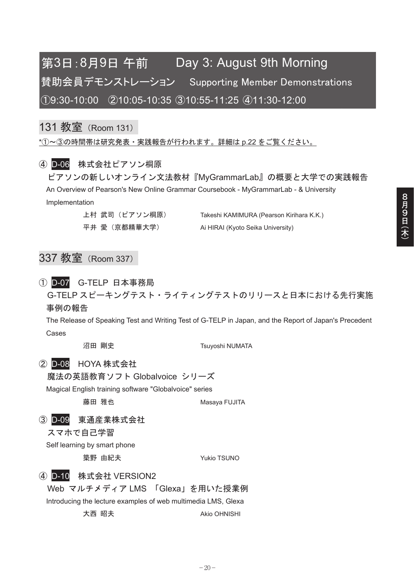## 第3日:8月9日 午前 Day 3: August 9th Morning 賛助会員デモンストレーション Supporting Member Demonstrations 㽲9:30-10:00 㽳10:05-10:35 㽴10:55-11:25 㽵11:30-12:00

### 131 教室 (Room 131)

 $*$ ①~③の時間帯は研究発表·実践報告が行われます。詳細は p.22 をご覧ください。

#### (4) D-06 株式会社ピアソン桐原

ピアソンの新しいオンライン文法教材『MyGrammarLab』の概要と大学での実践報告 An Overview of Pearson's New Online Grammar Coursebook - MyGrammarLab - & University Implementation

上村 武司(ピアソン桐原) Takeshi KAMIMURA (Pearson Kirihara K.K.) 平井 愛 (京都精華大学) Ai HIRAI (Kyoto Seika University)

### 337 教室 (Room 337)

#### ① D-07 G-TELP 日本事務局

G-TELP スピーキングテスト・ライティングテストのリリースと日本における先行実施 事例の報告

The Release of Speaking Test and Writing Test of G-TELP in Japan, and the Report of Japan's Precedent Cases

沼田 剛史 **William Standard Transform Tsuyoshi NUMATA** 

#### ② D-08 HOYA 株式会社

魔法の英語教育ソフト Globalvoice シリーズ

Magical English training software "Globalvoice" series

藤田 雅也 インファイル Masaya FUJITA

#### 3 D-09 東通産業株式会社

スマホで自己学習

Self learning by smart phone

**築野 由紀夫 ファイル Yukio TSUNO** 

#### (4) D-10 株式会社 VERSION2

Web マルチメディア LMS 「Glexa」を用いた授業例

Introducing the lecture examples of web multimedia LMS, Glexa

大西 昭夫 しゅうしょう Akio OHNISHI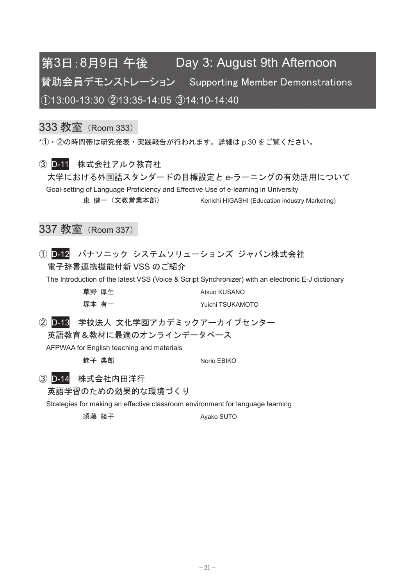## 第3日:8月9日 午後 Day 3: August 9th Afternoon 賛助会員デモンストレーション Supporting Member Demonstrations 㽲13:00-13:30 㽳13:35-14:05 㽴14:10-14:40

### 333 教室 (Room 333)

 $*$ ① • ②の時間帯は研究発表 • 実践報告が行われます。詳細は p.30 をご覧ください。

#### 3 D-11 株式会社アルク教育社

大学における外国語スタンダードの目標設定と e-ラーニングの有効活用について Goal-setting of Language Proficiency and Effective Use of e-learning in University 東健一 (文教営業本部) Kenichi HIGASHI (Education industry Marketing)

### 337 教室 (Room 337)

1 D-12 パナソニック システムソリューションズ ジャパン株式会社 雷子辞書連携機能付新 VSS のご紹介

The Introduction of the latest VSS (Voice & Script Synchronizer) with an electronic E-J dictionary

| 草野 厚生 |       | Atsuo KUSANO     |
|-------|-------|------------------|
|       | 塚本 有一 | Yuichi TSUKAMOTO |

2 D-13 学校法人 文化学園アカデミックアーカイブセンター 英語教育&教材に最適のオンラインデータベース

AFPWAA for English teaching and materials

**蛯子 典郎 インタイル Norio EBIKO** 

3 D-14 株式会社内田洋行

英語学習のための効果的な環境づくり

Strategies for making an effective classroom environment for language learning

須藤 綾子 いっぱん Avako SUTO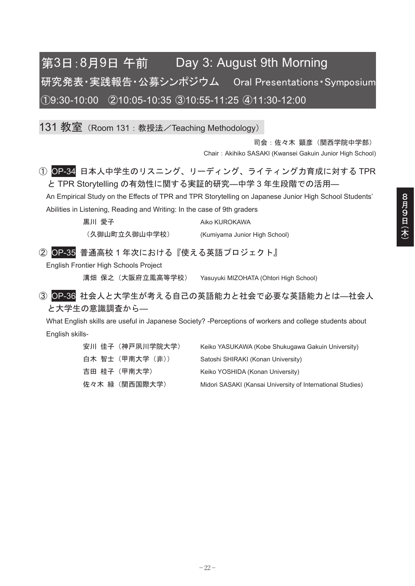## 第3日:8月9日 午前 Day 3: August 9th Morning 研究発表·実践報告·公募シンポジウム Oral Presentations·Svmposium 㽲9:30-10:00 㽳10:05-10:35 㽴10:55-11:25 㽵11:30-12:00

131 教室 (Room 131: 教授法/Teaching Methodology)

司会: 佐々木 顕彦 (関西学院中学部) Chair: Akihiko SASAKI (Kwansei Gakuin Junior High School)

1 OP-34 日本人中学生のリスニング、リーディング、ライティング力育成に対する TPR と TPR Storytelling の有効性に関する実証的研究––中学3年生段階での活用–

An Empirical Study on the Effects of TPR and TPR Storytelling on Japanese Junior High School Students' Abilities in Listening, Reading and Writing: In the case of 9th graders

黒川 愛子 しんしん Aiko KUROKAWA

(久御山町立久御山中学校) (Kumiyama Junior High School)

2 OP-35 普通高校1年次における『使える英語プロジェクト』

English Frontier High Schools Project

溝畑 保之 (大阪府立鳳高等学校) Yasuyuki MIZOHATA (Ohtori High School)

3 OP-36 社会人と大学生が考える自己の英語能力と社会で必要な英語能力とは–社会人 と大学生の意識調査から–

What English skills are useful in Japanese Society? -Perceptions of workers and college students about English skills-

| 安川 佳子(神戸夙川学院大学) | Keiko YASUKAWA (Kobe Shukuqawa Gakuin University)          |
|-----------------|------------------------------------------------------------|
| 白木 智士(甲南大学(非))  | Satoshi SHIRAKI (Konan University)                         |
| 吉田 桂子(甲南大学)     | Keiko YOSHIDA (Konan University)                           |
| 佐々木 緑(関西国際大学)   | Midori SASAKI (Kansai University of International Studies) |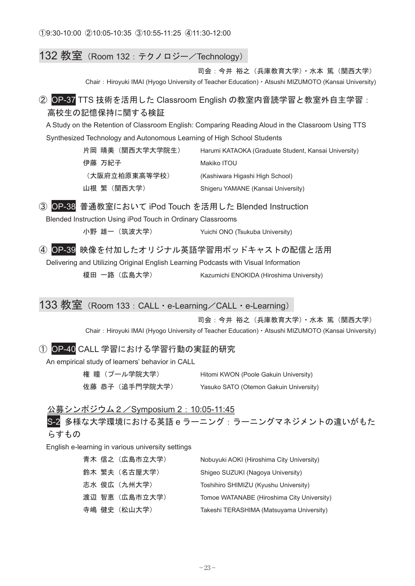#### 132 教室 (Room 132 : テクノロジー/Technology)

司会:今井裕之 (兵庫教育大学) · 水本 篤 (関西大学) Chair: Hiroyuki IMAI (Hyogo University of Teacher Education) · Atsushi MIZUMOTO (Kansai University)

#### ② OP-37 TTS 技術を活用した Classroom English の教室内音読学習と教室外自主学習: 高校生の記憶保持に関する検証

A Study on the Retention of Classroom English: Comparing Reading Aloud in the Classroom Using TTS Synthesized Technology and Autonomous Learning of High School Students

| 片岡 晴美(関西大学大学院生) | Harumi KATAOKA (Graduate Student, Kansai University) |
|-----------------|------------------------------------------------------|
| 伊藤 万紀子          | Makiko ITOU                                          |
| (大阪府立柏原東高等学校)   | (Kashiwara Higashi High School)                      |
| 山根 繁(関西大学)      | Shigeru YAMANE (Kansai University)                   |

3 OP-38 普通教室において iPod Touch を活用した Blended Instruction

Blended Instruction Using iPod Touch in Ordinary Classrooms

小野 雄一 (筑波大学) <br>
Yuichi ONO (Tsukuba University)

(4) OP-39 映像を付加したオリジナル英語学習用ポッドキャストの配信と活用

Delivering and Utilizing Original English Learning Podcasts with Visual Information

榎田 一路 (広島大学) Kazumichi ENOKIDA (Hiroshima University)

#### 133 教室 (Room 133 : CALL · e-Learning / CALL · e-Learning)

司会:今井裕之 (兵庫教育大学) · 水本 篤 (関西大学)

Chair: Hiroyuki IMAI (Hyogo University of Teacher Education) · Atsushi MIZUMOTO (Kansai University)

#### ① OP-40 CALL 学習における学習行動の実証的研究

An empirical study of learners' behavior in CALL

| 権 瞳(プール学院大学)   | Hitomi KWON (Poole Gakuin University)  |
|----------------|----------------------------------------|
| 佐藤 恭子(追手門学院大学) | Yasuko SATO (Otemon Gakuin University) |

#### 公募シンポジウム2 / Symposium 2: 10:05-11:45

S-2 多様な大学環境における英語eラーニング:ラーニングマネジメントの違いがもた らすもの

English e-learning in various university settings

|  | 青木 信之(広島市立大学) | Nobuyuki AOKI (Hiroshima City University)  |
|--|---------------|--------------------------------------------|
|  | 鈴木 繁夫(名古屋大学)  | Shigeo SUZUKI (Nagoya University)          |
|  | 志水 俊広(九州大学)   | Toshihiro SHIMIZU (Kyushu University)      |
|  | 渡辺 智恵(広島市立大学) | Tomoe WATANABE (Hiroshima City University) |
|  | 寺嶋 健史(松山大学)   | Takeshi TERASHIMA (Matsuyama University)   |
|  |               |                                            |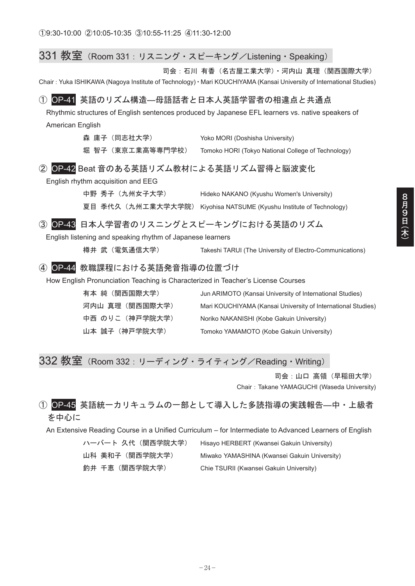| $331$ 教室(Room 331:リスニング・スピーキング/Listening・Speaking)                               |                                                                                                                      |
|----------------------------------------------------------------------------------|----------------------------------------------------------------------------------------------------------------------|
|                                                                                  | 司会:石川 有香 (名古屋工業大学)・河内山 真理 (関西国際大学)                                                                                   |
|                                                                                  | Chair: Yuka ISHIKAWA (Nagoya Institute of Technology) · Mari KOUCHIYAMA (Kansai University of International Studies) |
|                                                                                  |                                                                                                                      |
| OP-41 英語のリズム構造–母語話者と日本人英語学習者の相違点と共通点<br>(1)                                      |                                                                                                                      |
|                                                                                  | Rhythmic structures of English sentences produced by Japanese EFL learners vs. native speakers of                    |
| American English                                                                 |                                                                                                                      |
| 森 庸子(同志社大学)                                                                      | Yoko MORI (Doshisha University)                                                                                      |
| 堀 智子(東京工業高等専門学校)                                                                 | Tomoko HORI (Tokyo National College of Technology)                                                                   |
| OP-42 Beat 音のある英語リズム教材による英語リズム習得と脳波変化<br>$\circled{2}$                           |                                                                                                                      |
| English rhythm acquisition and EEG                                               |                                                                                                                      |
| 中野 秀子 (九州女子大学)                                                                   | Hideko NAKANO (Kyushu Women's University)                                                                            |
| 夏目 季代久(九州工業大学大学院)                                                                |                                                                                                                      |
|                                                                                  | Kiyohisa NATSUME (Kyushu Institute of Technology)                                                                    |
| OP-43 日本人学習者のリスニングとスピーキングにおける英語のリズム<br>$\circled{3}$                             |                                                                                                                      |
| English listening and speaking rhythm of Japanese learners                       |                                                                                                                      |
| 樽井 武(雷気通信大学)                                                                     | Takeshi TARUI (The University of Electro-Communications)                                                             |
| 教職課程における英語発音指導の位置づけ<br>$\circled{4}$<br>$OP-44$                                  |                                                                                                                      |
| How English Pronunciation Teaching is Characterized in Teacher's License Courses |                                                                                                                      |
| 有本 純 (関西国際大学)                                                                    | Jun ARIMOTO (Kansai University of International Studies)                                                             |
| 河内山 真理 (関西国際大学)                                                                  | Mari KOUCHIYAMA (Kansai University of International Studies)                                                         |
| 中西 のりこ(神戸学院大学)                                                                   |                                                                                                                      |
|                                                                                  | Noriko NAKANISHI (Kobe Gakuin University)                                                                            |
| 山本 誠子 (神戸学院大学)                                                                   | Tomoko YAMAMOTO (Kobe Gakuin University)                                                                             |

### 332 教室 (Room 332: リーディング・ライティング/Reading・Writing)

司会: 山口 高領 (早稲田大学)

Chair: Takane YAMAGUCHI (Waseda University)

#### ① OP-45 英語統一カリキュラムの一部として導入した多読指導の実践報告––中·上級者 を中心に

An Extensive Reading Course in a Unified Curriculum – for Intermediate to Advanced Learners of English

ハーバート 久代 (関西学院大学) Hisayo HERBERT (Kwansei Gakuin University) 山科 美和子 (関西学院大学) Miwako YAMASHINA (Kwansei Gakuin University) 釣井 千恵 (関西学院大学) Chie TSURII (Kwansei Gakuin University)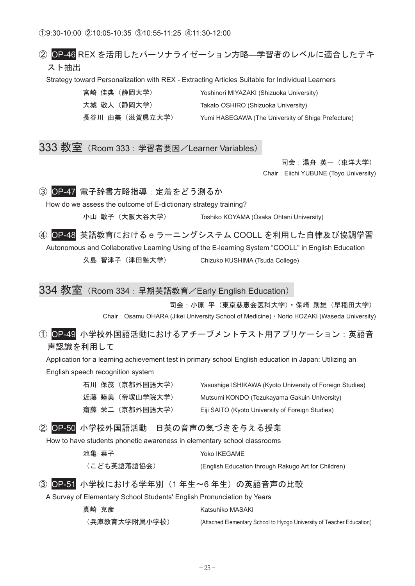Ԙ9:30-10:00 ԙ10:05-10:35 Ԛ10:55-11:25 ԛ11:30-12:00

#### ② OP-46 REX を活用したパーソナライゼーション方略––学習者のレベルに適合したテキ スト抽出

Strategy toward Personalization with REX - Extracting Articles Suitable for Individual Learners

| 宮崎 佳典 (静岡大学)   | Yoshinori MIYAZAKI (Shizuoka University)           |
|----------------|----------------------------------------------------|
| 大城 敬人 (静岡大学)   | Takato OSHIRO (Shizuoka University)                |
| 長谷川 由美(滋賀県立大学) | Yumi HASEGAWA (The University of Shiga Prefecture) |

333 教室 (Room 333 : 学習者要因/Learner Variables)

司会: 湯舟 英一 (東洋大学) Chair: Eiichi YUBUNE (Toyo University)



How do we assess the outcome of E-dictionary strategy training?

小山 敏子 (大阪大谷大学) Toshiko KOYAMA (Osaka Ohtani University)

4 OP-48 英語教育におけるe ラーニングシステム COOLL を利用した自律及び協調学習

Autonomous and Collaborative Learning Using of the E-learning System "COOLL" in English Education

久島 智津子 (津田塾大学) Chizuko KUSHIMA (Tsuda College)

334 教室 (Room 334: 早期英語教育/Early English Education)

司会:小原平(東京慈恵会医科大学) · 保崎 則雄 (早稲田大学) Chair: Osamu OHARA (Jikei University School of Medicine) · Norio HOZAKI (Waseda University)

① OP-49 小学校外国語活動におけるアチーブメントテスト用アプリケーション:英語音 声認識を利用して

Application for a learning achievement test in primary school English education in Japan: Utilizing an English speech recognition system

|  | 石川 保茂 (京都外国語大学) | Yasushige ISHIKAWA (Kyoto University of Foreign Studies) |
|--|-----------------|----------------------------------------------------------|
|  | 近藤 睦美(帝塚山学院大学)  | Mutsumi KONDO (Tezukayama Gakuin University)             |
|  | 齋藤 栄二(京都外国語大学)  | Eiji SAITO (Kyoto University of Foreign Studies)         |

② OP-50 小学校外国語活動 日英の音声の気づきを与える授業

How to have students phonetic awareness in elementary school classrooms

| 池亀 葉子       | Yoko IKEGAME                                        |
|-------------|-----------------------------------------------------|
| (こども英語落語協会) | (English Education through Rakugo Art for Children) |

3 OP-51 小学校における学年別 (1年生~6年生) の英語音声の比較

A Survey of Elementary School Students' English Pronunciation by Years

| 真崎 克彦         | Katsuhiko MASAKI                                                      |
|---------------|-----------------------------------------------------------------------|
| (兵庫教育大学附属小学校) | (Attached Elementary School to Hyogo University of Teacher Education) |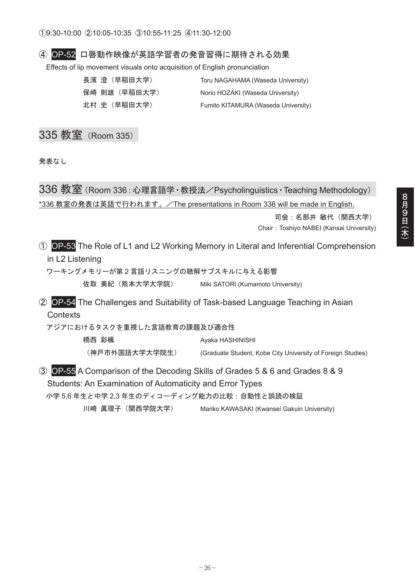#### ④ OP-52 口唇動作映像が英語学習者の発音習得に期待される効果

Effects of lip movement visuals onto acquisition of English pronunciation

| 長濱 澄(早稲田大学)   | Toru NAGAHAMA (Waseda University)   |
|---------------|-------------------------------------|
| 保崎 則雄 (早稲田大学) | Norio HOZAKI (Waseda University)    |
| 北村 史(早稲田大学)   | Fumito KITAMURA (Waseda University) |

### 335 教室 (Room 335)

発表なし

336 教室 (Room 336: 心理言語学 · 教授法/Psycholinguistics · Teaching Methodology) \*336 教室の発表は英語で行われます。/The presentations in Room 336 will be made in English.

> 司会:名部井敏代 (関西大学) Chair: Toshiyo NABEI (Kansai University)

Ԙ OP-53 The Role of L1 and L2 Working Memory in Literal and Inferential Comprehension in L2 Listening

ワーキングメモリーが第2言語リスニングの聴解サブスキルに与える影響 佐取 美紀 (熊本大学大学院) Miki SATORI (Kumamoto University)

ԙ OP-54 The Challenges and Suitability of Task-based Language Teaching in Asian **Contexts** 

アジアにおけるタスクを重視した言語教育の課題及び適合性

橋西 彩楓 しんじょう しょうしょう Ayaka HASHINISHI (神戸市外国語大学大学院生) (Graduate Student, Kobe City University of Foreign Studies)

Ԛ OP-55 A Comparison of the Decoding Skills of Grades 5 & 6 and Grades 8 & 9 Students: An Examination of Automaticity and Error Types 小学5.6年生と中学2.3年生のディコーディング能力の比較:自動性と誤読の検証

川崎 眞理子 (関西学院大学) Mariko KAWASAKI (Kwansei Gakuin University)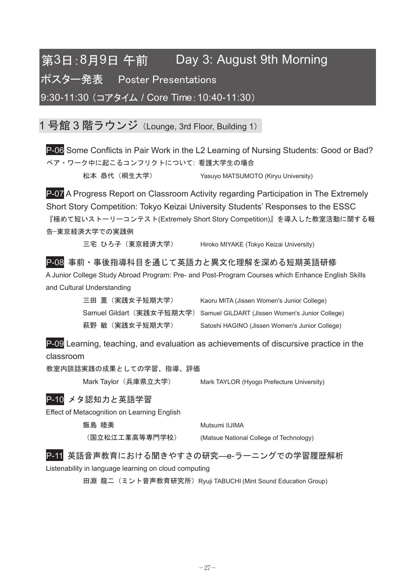## 第3日:8月9日 午前 Day 3: August 9th Morning

**ポスター発表 Poster Presentations** 

9:30-11:30 (コアタイム / Core Time: 10:40-11:30)

1 号館 3 階ラウンジ (Lounge, 3rd Floor, Building 1)

P-06 Some Conflicts in Pair Work in the L2 Learning of Nursing Students: Good or Bad? ペア・ワーク中に起こるコンフリクトについて: 看護大学生の場合

松本 恭代 (桐生大学) Yasuyo MATSUMOTO (Kiryu University)

P-07 A Progress Report on Classroom Activity regarding Participation in The Extremely Short Story Competition: Tokyo Keizai University Students' Responses to the ESSC 『極めて短いストーリーコンテスト(Extremely Short Story Competition)』を導入した教室活動に関する報 告–東京経済大学での実践例

三宅 ひろ子 (東京経済大学) Hiroko MIYAKE (Tokyo Keizai University)

#### P-08 事前 · 事後指導科目を通じて英語力と異文化理解を深める短期英語研修

A Junior College Study Abroad Program: Pre- and Post-Program Courses which Enhance English Skills and Cultural Understanding

| 三田 薫(実践女子短期大学) | Kaoru MITA (Jissen Women's Junior College)                                |
|----------------|---------------------------------------------------------------------------|
|                | Samuel Gildart(実践女子短期大学) Samuel GILDART (Jissen Women's Junior College) . |
| 萩野 敏(実践女子短期大学) | Satoshi HAGINO (Jissen Women's Junior College)                            |

P-09 Learning, teaching, and evaluation as achievements of discursive practice in the classroom

教室内談話実践の成果としての学習、指導、評価

Mark Taylor (兵庫県立大学) Mark TAYLOR (Hyogo Prefecture University)

#### P-10 メタ認知力と英語学習

Effect of Metacognition on Learning English

飯島 睦美 **with the controller of the Mutsumi IIJIMA** 

㧔࿖┙᧻ᳯᎿᬺ㜞╬ኾ㐷ቇᩞ㧕 (Matsue National College of Technology)

P-11 英語音声教育における聞きやすさの研究—e-ラーニングでの学習履歴解析

Listenability in language learning on cloud computing

田淵 龍二 (ミント音声教育研究所) Ryuji TABUCHI (Mint Sound Education Group)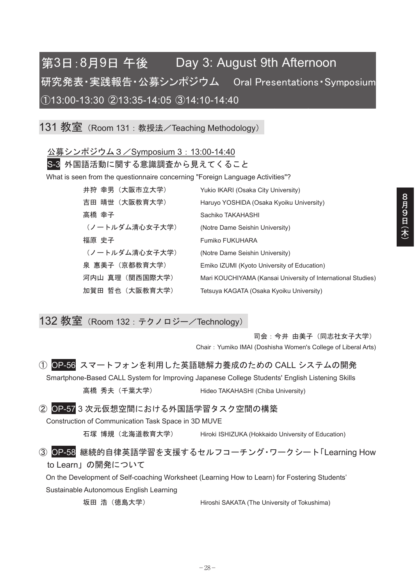## 第3日:8月9日 午後 Day 3: August 9th Afternoon 研究発表·実践報告·公募シンポジウム Oral Presentations·Symposium 㽲13:00-13:30 㽳13:35-14:05 㽴14:10-14:40

131 教室 (Room 131 : 教授法/Teaching Methodology)

公募シンポジウム3 / Symposium 3: 13:00-14:40

S-3 外国語活動に関する意識調査から見えてくること

What is seen from the questionnaire concerning "Foreign Language Activities"?

| 井狩 幸男(大阪市立大学)   | Yukio IKARI (Osaka City University)                          |
|-----------------|--------------------------------------------------------------|
| 吉田 晴世(大阪教育大学)   | Haruyo YOSHIDA (Osaka Kyoiku University)                     |
| 高橋 幸子           | Sachiko TAKAHASHI                                            |
| (ノートルダム清心女子大学)  | (Notre Dame Seishin University)                              |
| 福原 史子           | Fumiko FUKUHARA                                              |
| (ノートルダム清心女子大学)  | (Notre Dame Seishin University)                              |
| 泉 惠美子(京都教育大学)   | Emiko IZUMI (Kyoto University of Education)                  |
| 河内山 真理 (関西国際大学) | Mari KOUCHIYAMA (Kansai University of International Studies) |
| 加賀田 哲也(大阪教育大学)  | Tetsuya KAGATA (Osaka Kyoiku University)                     |

132 教室 (Room 132 : テクノロジー/Technology)

司会:今井由美子(同志社女子大学) Chair㧦Yumiko IMAI (Doshisha Women's College of Liberal Arts)

① OP-56 スマートフォンを利用した英語聴解力養成のための CALL システムの開発

Smartphone-Based CALL System for Improving Japanese College Students' English Listening Skills 高橋 秀夫 (千葉大学) <br>
Hideo TAKAHASHI (Chiba University)

2 OP-57 3 次元仮想空間における外国語学習タスク空間の構築

Construction of Communication Task Space in 3D MUVE

石塚 博規(北海道教育大学) Hiroki ISHIZUKA (Hokkaido University of Education)

③ OP-58 継続的自律英語学習を支援するセルフコーチング・ワークシート「Learning How to Learn∣の開発について

On the Development of Self-coaching Worksheet (Learning How to Learn) for Fostering Students' Sustainable Autonomous English Learning

坂田 浩 (徳島大学) <br>
Hiroshi SAKATA (The University of Tokushima)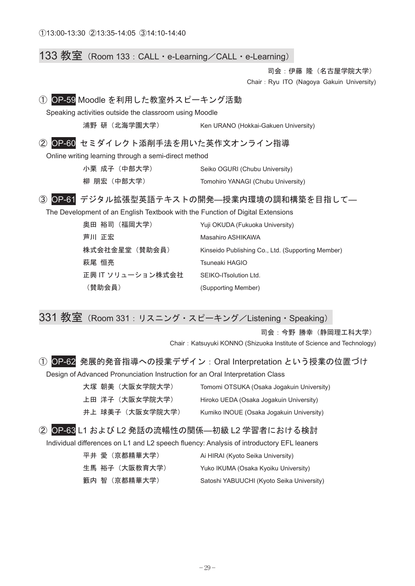#### 133 教室 (Room 133 : CALL · e-Learning / CALL · e-Learning)

司会:伊藤隆 (名古屋学院大学)

Chair: Ryu ITO (Nagoya Gakuin University)

#### ① OP-59 Moodle を利用した教室外スピーキング活動

Speaking activities outside the classroom using Moodle

浦野研 (北海学園大学) Ken URANO (Hokkai-Gakuen University)

#### 2 OP-60 セミダイレクト添削手法を用いた英作文オンライン指導

Online writing learning through a semi-direct method

| 小栗 成子(中部大学) | Seiko OGURI (Chubu University)     |
|-------------|------------------------------------|
| 柳 朋宏(中部大学)  | Tomohiro YANAGI (Chubu University) |

#### ③ OP-61 デジタル拡張型英語テキストの開発––授業内環境の調和構築を目指して–

The Development of an English Textbook with the Function of Digital Extensions

| 奥田 裕司(福岡大学)       | Yuji OKUDA (Fukuoka University)                   |
|-------------------|---------------------------------------------------|
| 芦川 正宏             | Masahiro ASHIKAWA                                 |
| 株式会社金星堂(替助会員)     | Kinseido Publishing Co., Ltd. (Supporting Member) |
| 萩尾 恒亮             | Tsuneaki HAGIO                                    |
| 正興 IT ソリューション株式会社 | SEIKO-ITsolution Ltd.                             |
| (賛助会員)            | (Supporting Member)                               |

#### 331 教室 (Room 331: リスニング・スピーキング/Listening・Speaking)

司会:今野 勝幸 (静岡理工科大学)

Chair: Katsuyuki KONNO (Shizuoka Institute of Science and Technology)

#### ① OP-62 発展的発音指導への授業デザイン: Oral Interpretation という授業の位置づけ

Design of Advanced Pronunciation Instruction for an Oral Interpretation Class

| 大塚 朝美 (大阪女学院大学) | Tomomi OTSUKA (Osaka Jogakuin University) |
|-----------------|-------------------------------------------|
| 上田 洋子(大阪女学院大学)  | Hiroko UEDA (Osaka Jogakuin University)   |
| 井上 球美子(大阪女学院大学) | Kumiko INOUE (Osaka Jogakuin University)  |

② OP-63 L1 および L2 発話の流暢性の関係––初級 L2 学習者における検討

Individual differences on L1 and L2 speech fluency: Analysis of introductory EFL leaners

| 平井 愛(京都精華大学)   | Ai HIRAI (Kyoto Seika University)         |
|----------------|-------------------------------------------|
| 生馬 裕子 (大阪教育大学) | Yuko IKUMA (Osaka Kyoiku University)      |
| 籔内 智 (京都精華大学)  | Satoshi YABUUCHI (Kyoto Seika University) |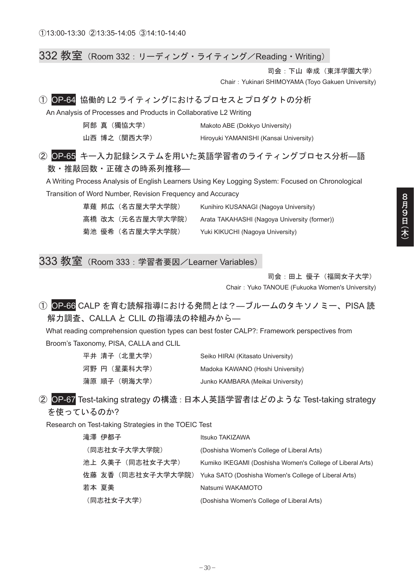332 教室 (Room 332 : リーディング・ライティング/Reading・Writing)

司会: 下山 幸成 (東洋学園大学)

Chair: Yukinari SHIMOYAMA (Toyo Gakuen University)

#### ① OP-64 協働的 L2 ライティングにおけるプロセスとプロダクトの分析

An Analysis of Processes and Products in Collaborative L2 Writing

| 阿部 真(獨協大学)  | Makoto ABE (Dokkyo University)         |
|-------------|----------------------------------------|
| 山西 博之(関西大学) | Hiroyuki YAMANISHI (Kansai University) |

2 OP-65 キー入力記録システムを用いた英語学習者のライティングプロセス分析–語 数・推敲回数・正確さの時系列推移—

A Writing Process Analysis of English Learners Using Key Logging System: Focused on Chronological Transition of Word Number, Revision Frequency and Accuracy

> 草薙 邦広 (名古屋大学大学院) Kunihiro KUSANAGI (Nagoya University) 高橋 改太 (元名古屋大学大学院) Arata TAKAHASHI (Nagoya University (former)) 菊池 優希 (名古屋大学大学院) Yuki KIKUCHI (Nagoya University)

333 教室 (Room 333 : 学習者要因/Learner Variables)

司会: 田上 優子 (福岡女子大学)

Chair: Yuko TANOUE (Fukuoka Women's University)

① OP-66 CALP を育む読解指導における発問とは?–ブルームのタキソノミー、PISA 読 解力調査、CALLA と CLIL の指導法の枠組みから–

What reading comprehension question types can best foster CALP?: Framework perspectives from Broom's Taxonomy, PISA, CALLA and CLIL

| 平井 清子(北里大学)  | Seiko HIRAI (Kitasato University) |
|--------------|-----------------------------------|
| 河野 円(星薬科大学)  | Madoka KAWANO (Hoshi University)  |
| 蒲原 順子 (明海大学) | Junko KAMBARA (Meikai University) |

#### ② OP-67 Test-taking strategy の構造: 日本人英語学習者はどのような Test-taking strategy を使っているのか?

Research on Test-taking Strategies in the TOEIC Test

| 滝澤 伊都子             | Itsuko TAKIZAWA                                           |
|--------------------|-----------------------------------------------------------|
| (同志社女子大学大学院)       | (Doshisha Women's College of Liberal Arts)                |
| 池上 久美子(同志社女子大学)    | Kumiko IKEGAMI (Doshisha Women's College of Liberal Arts) |
| 佐藤 友香 (同志社女子大学大学院) | Yuka SATO (Doshisha Women's College of Liberal Arts)      |
| 若本 夏美              | Natsumi WAKAMOTO                                          |
| (同志社女子大学)          | (Doshisha Women's College of Liberal Arts)                |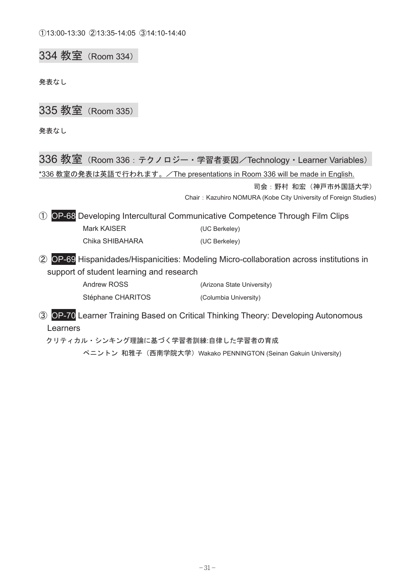334 教室 (Room 334)

発表なし

335 教室 (Room 335)

発表なし

336 教室 (Room 336: テクノロジー・学習者要因/Technology · Learner Variables) \*336 教室の発表は英語で行われます。/The presentations in Room 336 will be made in English. 司会:野村 和宏 (神戸市外国語大学) Chair: Kazuhiro NOMURA (Kobe City University of Foreign Studies) Ԙ OP-68 Developing Intercultural Communicative Competence Through Film Clips Mark KAISER (UC Berkeley) Chika SHIBAHARA (UC Berkeley) ԙ OP-69 Hispanidades/Hispanicities: Modeling Micro-collaboration across institutions in support of student learning and research Andrew ROSS (Arizona State University) Stéphane CHARITOS (Columbia University) Ԛ OP-70 Learner Training Based on Critical Thinking Theory: Developing Autonomous Learners クリティカル・シンキング理論に基づく学習者訓練:自律した学習者の育成

ペニントン 和雅子 (西南学院大学) Wakako PENNINGTON (Seinan Gakuin University)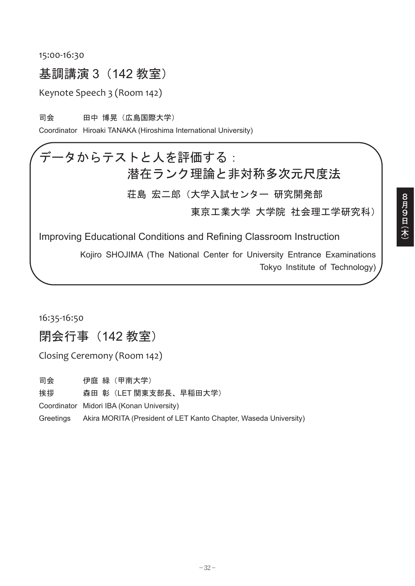#### 15:00-16:30

### 基調講演 3 (142 教室)

Keynote Speech 3 (Room 142)

司会 田中 博晃(広島国際大学)

Coordinator Hiroaki TANAKA (Hiroshima International University)

# データからテストと人を評価する: 潜在ランク理論と非対称多次元尺度法

荘島 宏ニ郎 (大学入試センター 研究開発部

東京工業大学 大学院 社会理工学研究科)

Improving Educational Conditions and Refining Classroom Instruction

Kojiro SHOJIMA (The National Center for University Entrance Examinations Tokyo Institute of Technology)

16:35-16:50

閉会行事 (142 教室)

Closing Ceremony (Room 142)

司会 伊庭 緑(甲南大学)

挨拶 森田 彰(LET 関東支部長、早稲田大学)

Coordinator Midori IBA (Konan University)

Greetings Akira MORITA (President of LET Kanto Chapter, Waseda University)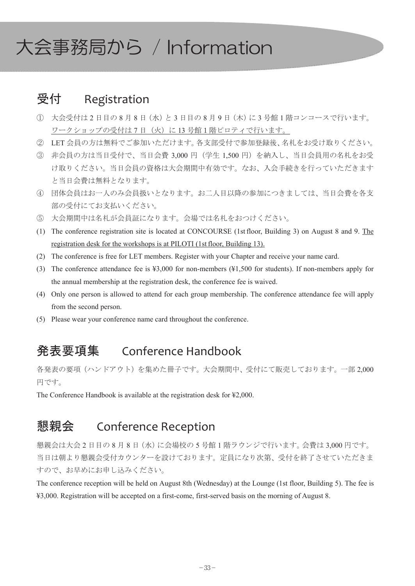# 大会事務局から / Information

## 受付 Registration

- ① 大会受付は2日目の8月8日(水)と3日目の8月9日(木)に3号館1階コンコースで行います。 ワークショップの受付は7日 (火)に13号館1階ピロティで行います。
- ② LET 会員の方は無料でご参加いただけます。各支部受付で参加登録後、名札をお受け取りください。
- ③ 非会員の方は当日受付で、当日会費 3,000 円(学生 1,500 円)を納入し、当日会員用の名札をお受 け取りください。当日会員の資格は大会期間中有効です。なお、入会手続きを行っていただきます と当日会費は無料となります。
- ④ 団体会員はお一人のみ会員扱いとなります。お二人目以降の参加につきましては、当日会費を各支 部の受付にてお支払いください。
- ⑤ 大会期間中は名札が会員証になります。会場では名札をおつけください。
- (1) The conference registration site is located at CONCOURSE (1stfloor, Building 3) on August 8 and 9. The registration desk for the workshops is at PILOTI (1stfloor, Building 13).
- (2) The conference is free for LET members. Register with your Chapter and receive your name card.
- (3) The conference attendance fee is ¥3,000 for non-members (¥1,500 for students). If non-members apply for the annual membership at the registration desk, the conference fee is waived.
- (4) Only one person is allowed to attend for each group membership. The conference attendance fee will apply from the second person.
- (5) Please wear your conference name card throughout the conference.

## ⊒ⷐ㗄㓸 Conference Handbook

各発表の要項 (ハンドアウト)を集めた冊子です。大会期間中、受付にて販売しております。一部2,000 円です。

The Conference Handbook is available at the registration desk for ¥2,000.

## 懇親会 Conference Reception

懇親会は大会2日目の8月8日 (水) に会場校の5号館1階ラウンジで行います。会費は3,000円です。 当日は朝より懇親会受付カウンターを設けております。定員になり次第、受付を終了させていただきま すので、お早めにお申し込みください。

The conference reception will be held on August 8th (Wednesday) at the Lounge (1st floor, Building 5). The fee is ¥3,000. Registration will be accepted on a first-come, first-served basis on the morning of August 8.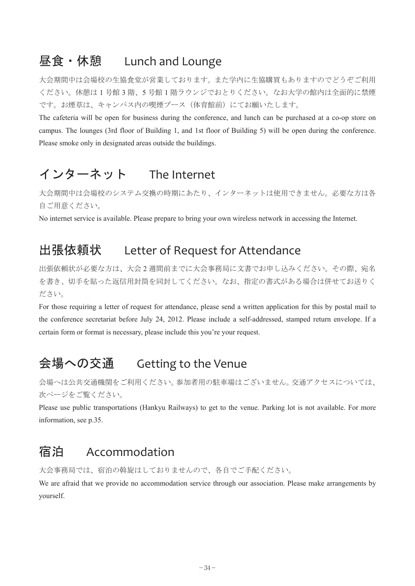## **昼食・休憩 Lunch and Lounge**

大会期間中は会場校の生協食堂が営業しております。また学内に生協購買もありますのでどうぞご利用 ください。休憩は1号館3階、5号館1階ラウンジでおとりください。なお大学の館内は全面的に禁煙 です。お煙草は、キャンパス内の喫煙ブース (体育館前)にてお願いたします。

The cafeteria will be open for business during the conference, and lunch can be purchased at a co-op store on campus. The lounges (3rd floor of Building 1, and 1st floor of Building 5) will be open during the conference. Please smoke only in designated areas outside the buildings.

## インターネット The Internet

大会期間中は会場校のシステム交換の時期にあたり、インターネットは使用できません。必要な方は各 自ご用意ください。

No internet service is available. Please prepare to bring your own wireless network in accessing the Internet.

## 出張依頼状 Letter of Request for Attendance

出張依頼状が必要な方は、大会2週間前までに大会事務局に文書でお申し込みください。その際、宛名 を書き、切手を貼った返信用封筒を同封してください。なお、指定の書式がある場合は併せてお送りく ださい。

For those requiring a letter of request for attendance, please send a written application for this by postal mail to the conference secretariat before July 24, 2012. Please include a self-addressed, stamped return envelope. If a certain form or format is necessary, please include this you're your request.

## 会場への交通 Getting to the Venue

会場へは公共交通機関をご利用ください。参加者用の駐車場はございません。交通アクセスについては、 次ページをご覧ください。

Please use public transportations (Hankyu Railways) to get to the venue. Parking lot is not available. For more information, see p.35.

## ኋᴱ Accommodation

大会事務局では、宿泊の斡旋はしておりませんので、各自でご手配ください。

We are afraid that we provide no accommodation service through our association. Please make arrangements by yourself.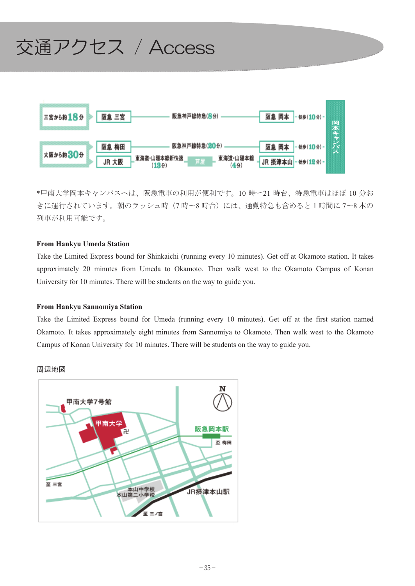

\*甲南大学岡本キャンパスへは、阪急電車の利用が便利です。10 時ー21 時台、特急電車はほぼ 10 分お きに運行されています。朝のラッシュ時(7時~8時台)には、通勤特急も含めると1時間に7~8本の 列車が利用可能です。

#### **From Hankyu Umeda Station**

Take the Limited Express bound for Shinkaichi (running every 10 minutes). Get off at Okamoto station. It takes approximately 20 minutes from Umeda to Okamoto. Then walk west to the Okamoto Campus of Konan University for 10 minutes. There will be students on the way to guide you.

#### **From Hankyu Sannomiya Station**

Take the Limited Express bound for Umeda (running every 10 minutes). Get off at the first station named Okamoto. It takes approximately eight minutes from Sannomiya to Okamoto. Then walk west to the Okamoto Campus of Konan University for 10 minutes. There will be students on the way to guide you.



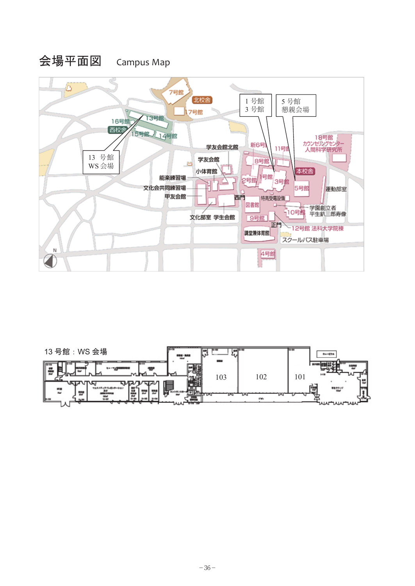

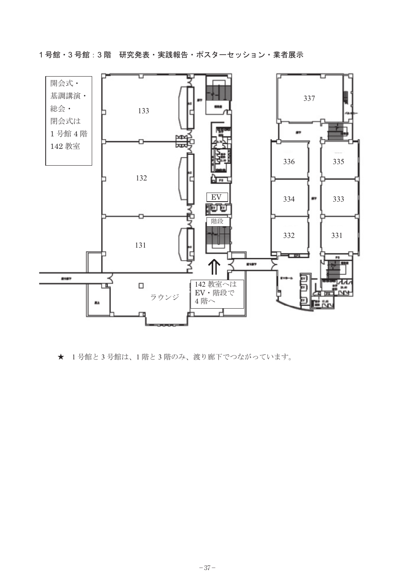1号館・3 号館:3 階 研究発表・実践報告・ポスターセッション・業者展示



★ 1号館と3号館は、1階と3階のみ、渡り廊下でつながっています。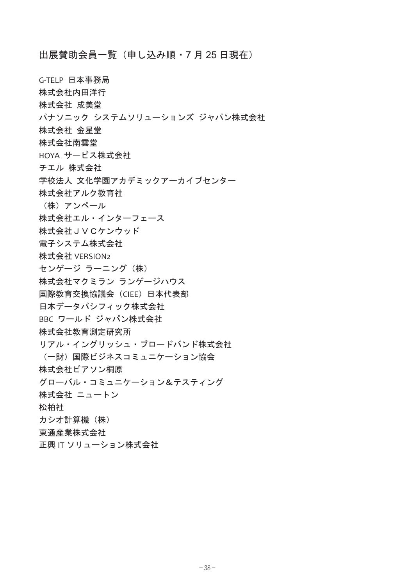出展賛助会員一覧 (申し込み順・7月25日現在)

G-TELP 日本事務局

- 株式会社内田洋行
- 株式会社 成美堂
- パナソニック システムソリューションズ ジャパン株式会社
- 株式会社 金星堂
- 株式会社南雲堂
- HOYA サービス株式会社
- チエル 株式会社
- 学校法人 文化学園アカデミックアーカイブセンター
- 株式会社アルク教育社
- (株) アンペール
- 株式会社エル・インターフェース
- 株式会社JVCケンウッド
- 電子システム株式会社
- 株式会社 VERSION2
- センゲージ ラーニング (株)
- 株式会社マクミラン ランゲージハウス
- 国際教育交換協議会 (CIEE) 日本代表部
- 日本データパシフィック株式会社
- BBC ワールド ジャパン株式会社
- 株式会社教育測定研究所
- リアル・イングリッシュ・ブロードバンド株式会社
- (一財) 国際ビジネスコミュニケーション協会
- 株式会社ピアソン桐原
- ࠣࡦࠖ࠹ࠬ࠹㧒ࡦ࡚ࠪࠤ࠾ࡘࡒࠦ࡞ࡃࡠࠣ
- 株式会社 ニュートン
- 松柏社
- カシオ計算機 (株)
- 東通産業株式会社
- 正興 IT ソリューション株式会社